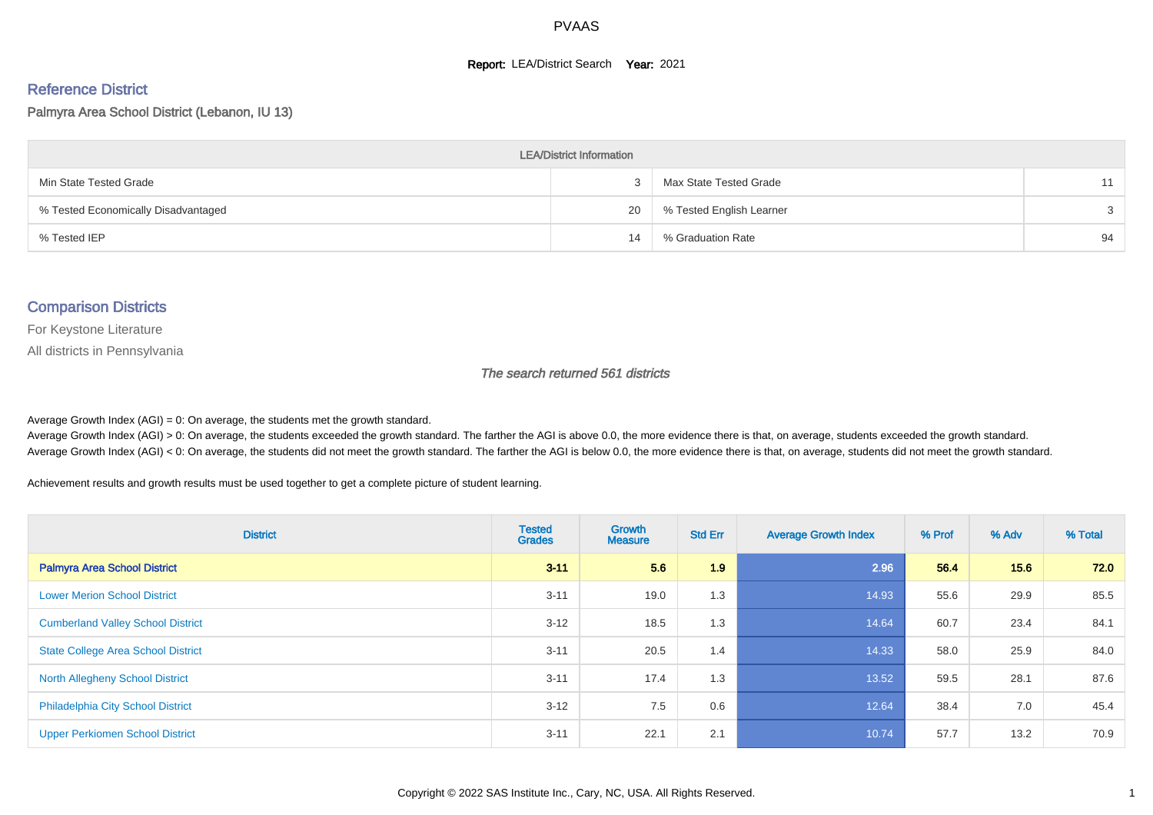#### **Report: LEA/District Search Year: 2021**

# Reference District

Palmyra Area School District (Lebanon, IU 13)

| <b>LEA/District Information</b>     |    |                          |    |  |  |  |  |  |  |  |
|-------------------------------------|----|--------------------------|----|--|--|--|--|--|--|--|
| Min State Tested Grade              |    | Max State Tested Grade   | 11 |  |  |  |  |  |  |  |
| % Tested Economically Disadvantaged | 20 | % Tested English Learner | 3  |  |  |  |  |  |  |  |
| % Tested IEP                        | 14 | % Graduation Rate        | 94 |  |  |  |  |  |  |  |

#### Comparison Districts

For Keystone Literature

All districts in Pennsylvania

The search returned 561 districts

Average Growth Index  $(AGI) = 0$ : On average, the students met the growth standard.

Average Growth Index (AGI) > 0: On average, the students exceeded the growth standard. The farther the AGI is above 0.0, the more evidence there is that, on average, students exceeded the growth standard. Average Growth Index (AGI) < 0: On average, the students did not meet the growth standard. The farther the AGI is below 0.0, the more evidence there is that, on average, students did not meet the growth standard.

Achievement results and growth results must be used together to get a complete picture of student learning.

| <b>District</b>                           | <b>Tested</b><br><b>Grades</b> | <b>Growth</b><br><b>Measure</b> | <b>Std Err</b> | <b>Average Growth Index</b> | % Prof | % Adv | % Total |
|-------------------------------------------|--------------------------------|---------------------------------|----------------|-----------------------------|--------|-------|---------|
| <b>Palmyra Area School District</b>       | $3 - 11$                       | 5.6                             | 1.9            | 2.96                        | 56.4   | 15.6  | 72.0    |
| <b>Lower Merion School District</b>       | $3 - 11$                       | 19.0                            | 1.3            | 14.93                       | 55.6   | 29.9  | 85.5    |
| <b>Cumberland Valley School District</b>  | $3 - 12$                       | 18.5                            | 1.3            | 14.64                       | 60.7   | 23.4  | 84.1    |
| <b>State College Area School District</b> | $3 - 11$                       | 20.5                            | 1.4            | 14.33                       | 58.0   | 25.9  | 84.0    |
| <b>North Allegheny School District</b>    | $3 - 11$                       | 17.4                            | 1.3            | 13.52                       | 59.5   | 28.1  | 87.6    |
| <b>Philadelphia City School District</b>  | $3 - 12$                       | 7.5                             | 0.6            | 12.64                       | 38.4   | 7.0   | 45.4    |
| <b>Upper Perkiomen School District</b>    | $3 - 11$                       | 22.1                            | 2.1            | 10.74                       | 57.7   | 13.2  | 70.9    |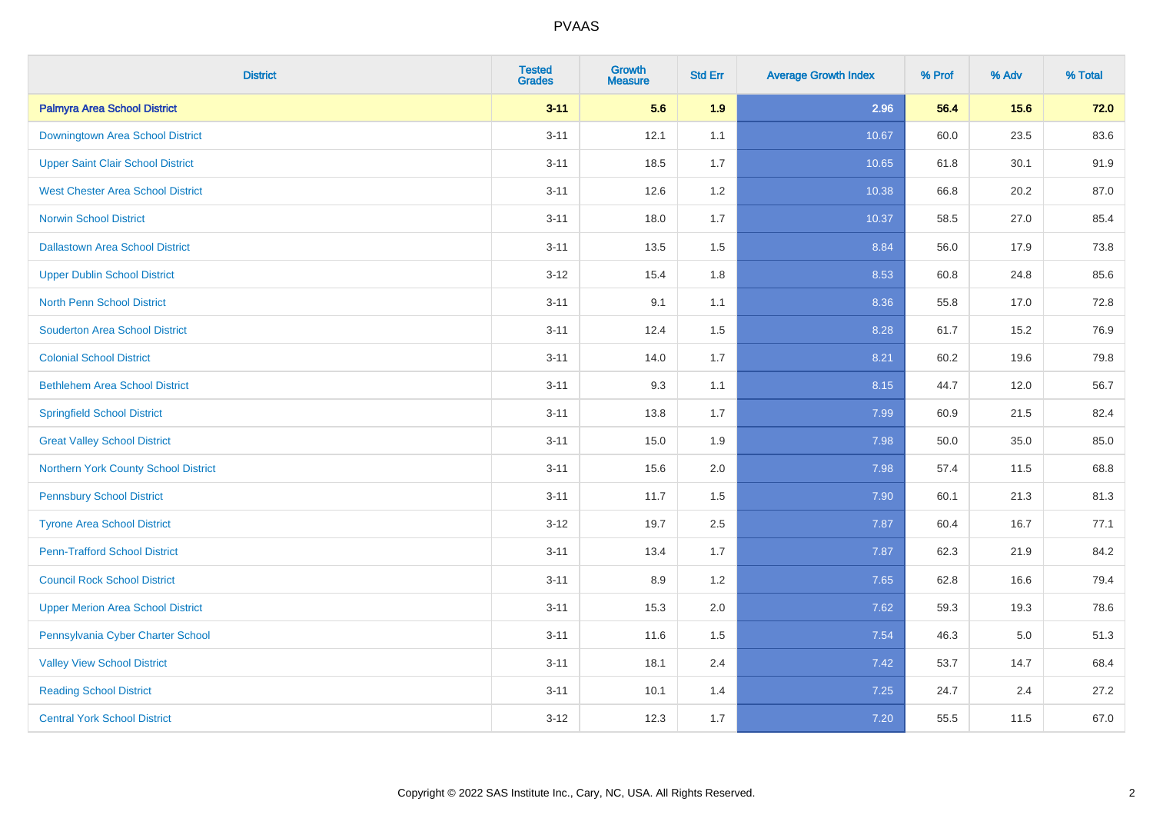| <b>District</b>                          | <b>Tested</b><br><b>Grades</b> | Growth<br><b>Measure</b> | <b>Std Err</b> | <b>Average Growth Index</b> | % Prof | % Adv | % Total |
|------------------------------------------|--------------------------------|--------------------------|----------------|-----------------------------|--------|-------|---------|
| <b>Palmyra Area School District</b>      | $3 - 11$                       | 5.6                      | 1.9            | 2.96                        | 56.4   | 15.6  | 72.0    |
| Downingtown Area School District         | $3 - 11$                       | 12.1                     | 1.1            | 10.67                       | 60.0   | 23.5  | 83.6    |
| <b>Upper Saint Clair School District</b> | $3 - 11$                       | 18.5                     | 1.7            | 10.65                       | 61.8   | 30.1  | 91.9    |
| <b>West Chester Area School District</b> | $3 - 11$                       | 12.6                     | $1.2\,$        | 10.38                       | 66.8   | 20.2  | 87.0    |
| <b>Norwin School District</b>            | $3 - 11$                       | 18.0                     | 1.7            | 10.37                       | 58.5   | 27.0  | 85.4    |
| <b>Dallastown Area School District</b>   | $3 - 11$                       | 13.5                     | 1.5            | 8.84                        | 56.0   | 17.9  | 73.8    |
| <b>Upper Dublin School District</b>      | $3 - 12$                       | 15.4                     | 1.8            | 8.53                        | 60.8   | 24.8  | 85.6    |
| <b>North Penn School District</b>        | $3 - 11$                       | 9.1                      | 1.1            | 8.36                        | 55.8   | 17.0  | 72.8    |
| <b>Souderton Area School District</b>    | $3 - 11$                       | 12.4                     | 1.5            | 8.28                        | 61.7   | 15.2  | 76.9    |
| <b>Colonial School District</b>          | $3 - 11$                       | 14.0                     | 1.7            | 8.21                        | 60.2   | 19.6  | 79.8    |
| <b>Bethlehem Area School District</b>    | $3 - 11$                       | 9.3                      | 1.1            | 8.15                        | 44.7   | 12.0  | 56.7    |
| <b>Springfield School District</b>       | $3 - 11$                       | 13.8                     | 1.7            | 7.99                        | 60.9   | 21.5  | 82.4    |
| <b>Great Valley School District</b>      | $3 - 11$                       | 15.0                     | 1.9            | 7.98                        | 50.0   | 35.0  | 85.0    |
| Northern York County School District     | $3 - 11$                       | 15.6                     | 2.0            | 7.98                        | 57.4   | 11.5  | 68.8    |
| <b>Pennsbury School District</b>         | $3 - 11$                       | 11.7                     | 1.5            | 7.90                        | 60.1   | 21.3  | 81.3    |
| <b>Tyrone Area School District</b>       | $3 - 12$                       | 19.7                     | 2.5            | 7.87                        | 60.4   | 16.7  | 77.1    |
| <b>Penn-Trafford School District</b>     | $3 - 11$                       | 13.4                     | 1.7            | 7.87                        | 62.3   | 21.9  | 84.2    |
| <b>Council Rock School District</b>      | $3 - 11$                       | 8.9                      | 1.2            | 7.65                        | 62.8   | 16.6  | 79.4    |
| <b>Upper Merion Area School District</b> | $3 - 11$                       | 15.3                     | 2.0            | 7.62                        | 59.3   | 19.3  | 78.6    |
| Pennsylvania Cyber Charter School        | $3 - 11$                       | 11.6                     | 1.5            | 7.54                        | 46.3   | 5.0   | 51.3    |
| <b>Valley View School District</b>       | $3 - 11$                       | 18.1                     | 2.4            | 7.42                        | 53.7   | 14.7  | 68.4    |
| <b>Reading School District</b>           | $3 - 11$                       | 10.1                     | 1.4            | 7.25                        | 24.7   | 2.4   | 27.2    |
| <b>Central York School District</b>      | $3 - 12$                       | 12.3                     | 1.7            | 7.20                        | 55.5   | 11.5  | 67.0    |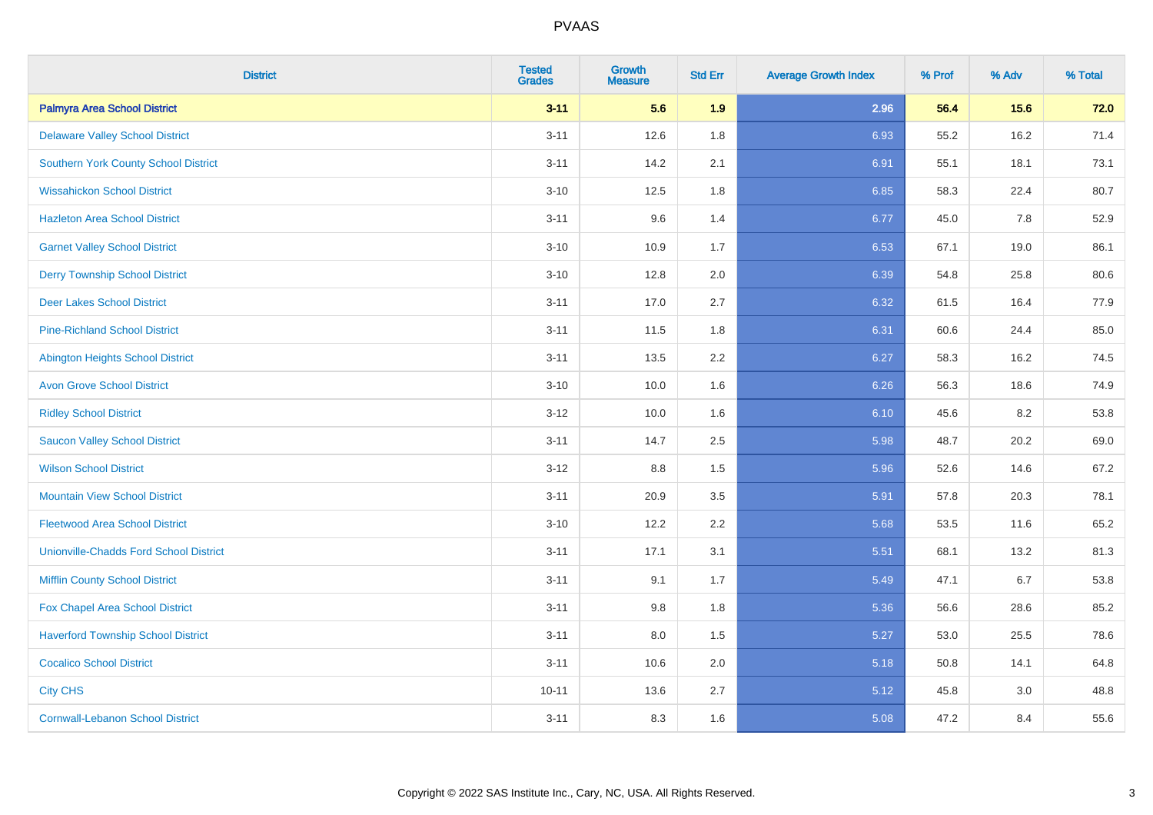| <b>District</b>                               | <b>Tested</b><br><b>Grades</b> | <b>Growth</b><br><b>Measure</b> | <b>Std Err</b> | <b>Average Growth Index</b> | % Prof | % Adv | % Total |
|-----------------------------------------------|--------------------------------|---------------------------------|----------------|-----------------------------|--------|-------|---------|
| <b>Palmyra Area School District</b>           | $3 - 11$                       | 5.6                             | 1.9            | 2.96                        | 56.4   | 15.6  | 72.0    |
| <b>Delaware Valley School District</b>        | $3 - 11$                       | 12.6                            | 1.8            | 6.93                        | 55.2   | 16.2  | 71.4    |
| <b>Southern York County School District</b>   | $3 - 11$                       | 14.2                            | 2.1            | 6.91                        | 55.1   | 18.1  | 73.1    |
| <b>Wissahickon School District</b>            | $3 - 10$                       | 12.5                            | 1.8            | 6.85                        | 58.3   | 22.4  | 80.7    |
| <b>Hazleton Area School District</b>          | $3 - 11$                       | 9.6                             | 1.4            | 6.77                        | 45.0   | 7.8   | 52.9    |
| <b>Garnet Valley School District</b>          | $3 - 10$                       | 10.9                            | 1.7            | 6.53                        | 67.1   | 19.0  | 86.1    |
| <b>Derry Township School District</b>         | $3 - 10$                       | 12.8                            | 2.0            | 6.39                        | 54.8   | 25.8  | 80.6    |
| <b>Deer Lakes School District</b>             | $3 - 11$                       | 17.0                            | 2.7            | 6.32                        | 61.5   | 16.4  | 77.9    |
| <b>Pine-Richland School District</b>          | $3 - 11$                       | 11.5                            | 1.8            | 6.31                        | 60.6   | 24.4  | 85.0    |
| Abington Heights School District              | $3 - 11$                       | 13.5                            | 2.2            | 6.27                        | 58.3   | 16.2  | 74.5    |
| <b>Avon Grove School District</b>             | $3 - 10$                       | 10.0                            | 1.6            | 6.26                        | 56.3   | 18.6  | 74.9    |
| <b>Ridley School District</b>                 | $3 - 12$                       | 10.0                            | 1.6            | 6.10                        | 45.6   | 8.2   | 53.8    |
| <b>Saucon Valley School District</b>          | $3 - 11$                       | 14.7                            | 2.5            | 5.98                        | 48.7   | 20.2  | 69.0    |
| <b>Wilson School District</b>                 | $3-12$                         | 8.8                             | 1.5            | 5.96                        | 52.6   | 14.6  | 67.2    |
| <b>Mountain View School District</b>          | $3 - 11$                       | 20.9                            | 3.5            | 5.91                        | 57.8   | 20.3  | 78.1    |
| <b>Fleetwood Area School District</b>         | $3 - 10$                       | 12.2                            | 2.2            | 5.68                        | 53.5   | 11.6  | 65.2    |
| <b>Unionville-Chadds Ford School District</b> | $3 - 11$                       | 17.1                            | 3.1            | 5.51                        | 68.1   | 13.2  | 81.3    |
| <b>Mifflin County School District</b>         | $3 - 11$                       | 9.1                             | 1.7            | 5.49                        | 47.1   | 6.7   | 53.8    |
| Fox Chapel Area School District               | $3 - 11$                       | 9.8                             | 1.8            | 5.36                        | 56.6   | 28.6  | 85.2    |
| <b>Haverford Township School District</b>     | $3 - 11$                       | 8.0                             | 1.5            | 5.27                        | 53.0   | 25.5  | 78.6    |
| <b>Cocalico School District</b>               | $3 - 11$                       | 10.6                            | 2.0            | 5.18                        | 50.8   | 14.1  | 64.8    |
| <b>City CHS</b>                               | $10 - 11$                      | 13.6                            | 2.7            | 5.12                        | 45.8   | 3.0   | 48.8    |
| <b>Cornwall-Lebanon School District</b>       | $3 - 11$                       | 8.3                             | 1.6            | 5.08                        | 47.2   | 8.4   | 55.6    |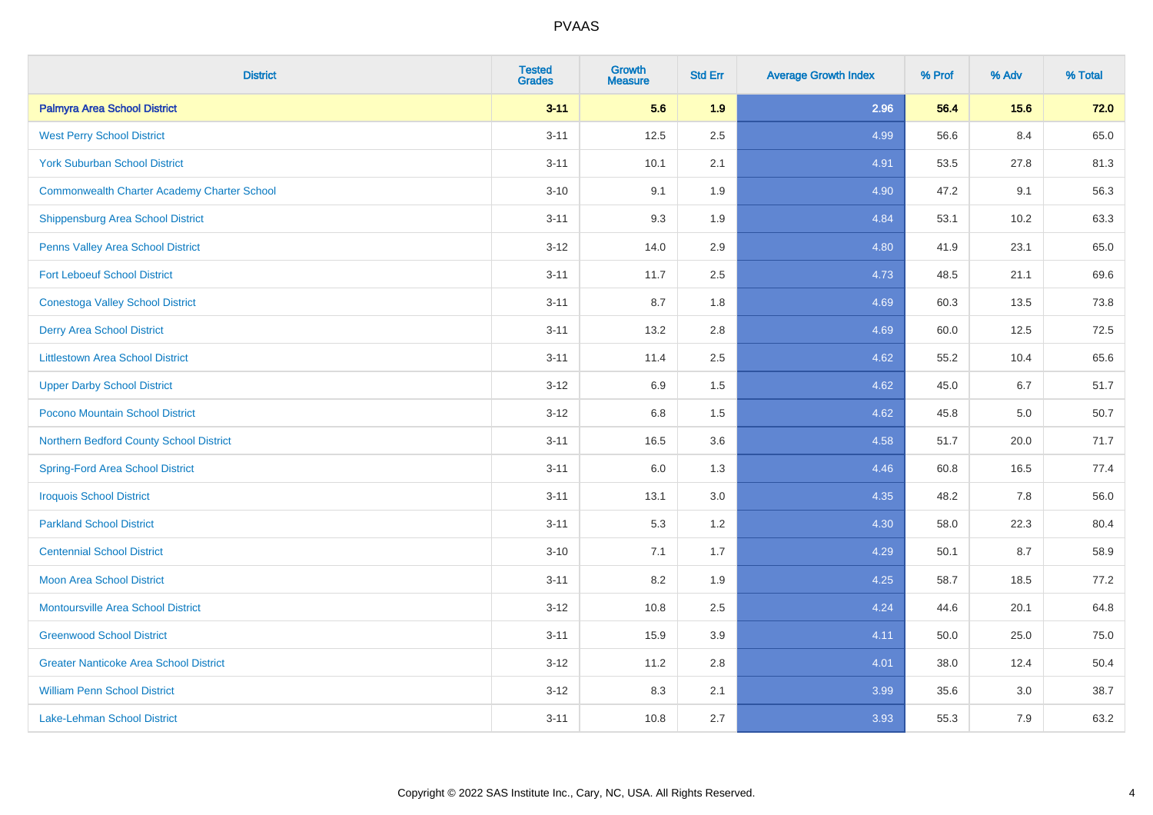| <b>District</b>                                    | <b>Tested</b><br><b>Grades</b> | Growth<br><b>Measure</b> | <b>Std Err</b> | <b>Average Growth Index</b> | % Prof | % Adv | % Total |
|----------------------------------------------------|--------------------------------|--------------------------|----------------|-----------------------------|--------|-------|---------|
| <b>Palmyra Area School District</b>                | $3 - 11$                       | 5.6                      | 1.9            | 2.96                        | 56.4   | 15.6  | 72.0    |
| <b>West Perry School District</b>                  | $3 - 11$                       | 12.5                     | 2.5            | 4.99                        | 56.6   | 8.4   | 65.0    |
| <b>York Suburban School District</b>               | $3 - 11$                       | 10.1                     | 2.1            | 4.91                        | 53.5   | 27.8  | 81.3    |
| <b>Commonwealth Charter Academy Charter School</b> | $3 - 10$                       | 9.1                      | 1.9            | 4.90                        | 47.2   | 9.1   | 56.3    |
| Shippensburg Area School District                  | $3 - 11$                       | 9.3                      | 1.9            | 4.84                        | 53.1   | 10.2  | 63.3    |
| Penns Valley Area School District                  | $3 - 12$                       | 14.0                     | 2.9            | 4.80                        | 41.9   | 23.1  | 65.0    |
| <b>Fort Leboeuf School District</b>                | $3 - 11$                       | 11.7                     | 2.5            | 4.73                        | 48.5   | 21.1  | 69.6    |
| <b>Conestoga Valley School District</b>            | $3 - 11$                       | 8.7                      | 1.8            | 4.69                        | 60.3   | 13.5  | 73.8    |
| <b>Derry Area School District</b>                  | $3 - 11$                       | 13.2                     | 2.8            | 4.69                        | 60.0   | 12.5  | 72.5    |
| <b>Littlestown Area School District</b>            | $3 - 11$                       | 11.4                     | $2.5\,$        | 4.62                        | 55.2   | 10.4  | 65.6    |
| <b>Upper Darby School District</b>                 | $3 - 12$                       | 6.9                      | 1.5            | 4.62                        | 45.0   | 6.7   | 51.7    |
| Pocono Mountain School District                    | $3 - 12$                       | $6.8\,$                  | 1.5            | 4.62                        | 45.8   | 5.0   | 50.7    |
| Northern Bedford County School District            | $3 - 11$                       | 16.5                     | 3.6            | 4.58                        | 51.7   | 20.0  | 71.7    |
| <b>Spring-Ford Area School District</b>            | $3 - 11$                       | 6.0                      | 1.3            | 4.46                        | 60.8   | 16.5  | 77.4    |
| <b>Iroquois School District</b>                    | $3 - 11$                       | 13.1                     | 3.0            | 4.35                        | 48.2   | 7.8   | 56.0    |
| <b>Parkland School District</b>                    | $3 - 11$                       | 5.3                      | 1.2            | 4.30                        | 58.0   | 22.3  | 80.4    |
| <b>Centennial School District</b>                  | $3 - 10$                       | 7.1                      | 1.7            | 4.29                        | 50.1   | 8.7   | 58.9    |
| <b>Moon Area School District</b>                   | $3 - 11$                       | 8.2                      | 1.9            | 4.25                        | 58.7   | 18.5  | 77.2    |
| <b>Montoursville Area School District</b>          | $3 - 12$                       | 10.8                     | 2.5            | 4.24                        | 44.6   | 20.1  | 64.8    |
| <b>Greenwood School District</b>                   | $3 - 11$                       | 15.9                     | 3.9            | 4.11                        | 50.0   | 25.0  | 75.0    |
| <b>Greater Nanticoke Area School District</b>      | $3 - 12$                       | 11.2                     | 2.8            | 4.01                        | 38.0   | 12.4  | 50.4    |
| <b>William Penn School District</b>                | $3 - 12$                       | 8.3                      | 2.1            | 3.99                        | 35.6   | 3.0   | 38.7    |
| Lake-Lehman School District                        | $3 - 11$                       | 10.8                     | 2.7            | 3.93                        | 55.3   | 7.9   | 63.2    |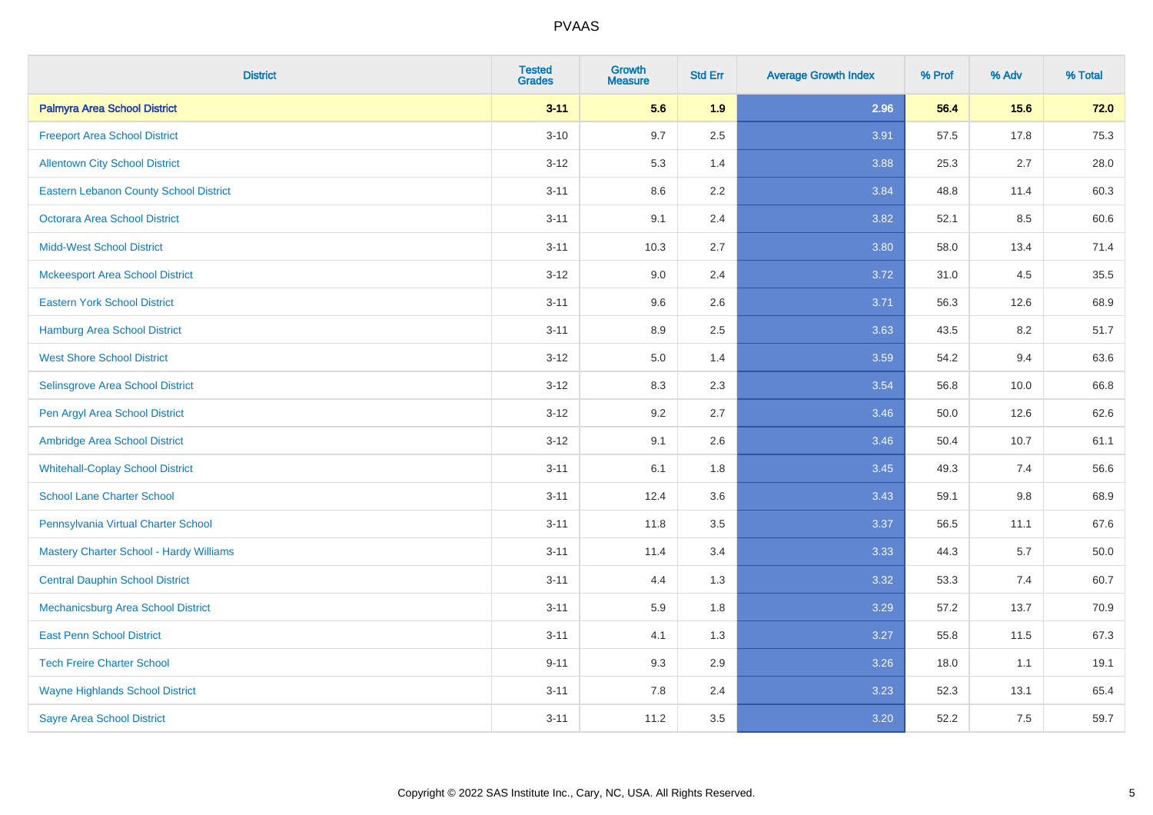| <b>District</b>                               | <b>Tested</b><br><b>Grades</b> | <b>Growth</b><br><b>Measure</b> | <b>Std Err</b> | <b>Average Growth Index</b> | % Prof | % Adv   | % Total  |
|-----------------------------------------------|--------------------------------|---------------------------------|----------------|-----------------------------|--------|---------|----------|
| <b>Palmyra Area School District</b>           | $3 - 11$                       | 5.6                             | 1.9            | 2.96                        | 56.4   | 15.6    | 72.0     |
| <b>Freeport Area School District</b>          | $3 - 10$                       | 9.7                             | 2.5            | 3.91                        | 57.5   | 17.8    | 75.3     |
| <b>Allentown City School District</b>         | $3 - 12$                       | 5.3                             | 1.4            | 3.88                        | 25.3   | 2.7     | 28.0     |
| <b>Eastern Lebanon County School District</b> | $3 - 11$                       | 8.6                             | 2.2            | 3.84                        | 48.8   | 11.4    | 60.3     |
| <b>Octorara Area School District</b>          | $3 - 11$                       | 9.1                             | 2.4            | 3.82                        | 52.1   | 8.5     | 60.6     |
| <b>Midd-West School District</b>              | $3 - 11$                       | 10.3                            | 2.7            | 3.80                        | 58.0   | 13.4    | 71.4     |
| <b>Mckeesport Area School District</b>        | $3 - 12$                       | 9.0                             | 2.4            | 3.72                        | 31.0   | 4.5     | 35.5     |
| <b>Eastern York School District</b>           | $3 - 11$                       | 9.6                             | 2.6            | 3.71                        | 56.3   | 12.6    | 68.9     |
| <b>Hamburg Area School District</b>           | $3 - 11$                       | 8.9                             | 2.5            | 3.63                        | 43.5   | 8.2     | 51.7     |
| <b>West Shore School District</b>             | $3 - 12$                       | 5.0                             | 1.4            | 3.59                        | 54.2   | 9.4     | 63.6     |
| Selinsgrove Area School District              | $3 - 12$                       | 8.3                             | 2.3            | 3.54                        | 56.8   | 10.0    | 66.8     |
| Pen Argyl Area School District                | $3 - 12$                       | 9.2                             | 2.7            | 3.46                        | 50.0   | 12.6    | 62.6     |
| Ambridge Area School District                 | $3 - 12$                       | 9.1                             | 2.6            | 3.46                        | 50.4   | 10.7    | 61.1     |
| <b>Whitehall-Coplay School District</b>       | $3 - 11$                       | 6.1                             | 1.8            | 3.45                        | 49.3   | 7.4     | 56.6     |
| <b>School Lane Charter School</b>             | $3 - 11$                       | 12.4                            | 3.6            | 3.43                        | 59.1   | $9.8\,$ | 68.9     |
| Pennsylvania Virtual Charter School           | $3 - 11$                       | 11.8                            | $3.5\,$        | 3.37                        | 56.5   | 11.1    | 67.6     |
| Mastery Charter School - Hardy Williams       | $3 - 11$                       | 11.4                            | 3.4            | 3.33                        | 44.3   | 5.7     | $50.0\,$ |
| <b>Central Dauphin School District</b>        | $3 - 11$                       | 4.4                             | 1.3            | 3.32                        | 53.3   | 7.4     | 60.7     |
| Mechanicsburg Area School District            | $3 - 11$                       | 5.9                             | 1.8            | 3.29                        | 57.2   | 13.7    | 70.9     |
| <b>East Penn School District</b>              | $3 - 11$                       | 4.1                             | 1.3            | 3.27                        | 55.8   | 11.5    | 67.3     |
| <b>Tech Freire Charter School</b>             | $9 - 11$                       | 9.3                             | 2.9            | 3.26                        | 18.0   | 1.1     | 19.1     |
| <b>Wayne Highlands School District</b>        | $3 - 11$                       | 7.8                             | 2.4            | 3.23                        | 52.3   | 13.1    | 65.4     |
| <b>Sayre Area School District</b>             | $3 - 11$                       | 11.2                            | 3.5            | 3.20                        | 52.2   | 7.5     | 59.7     |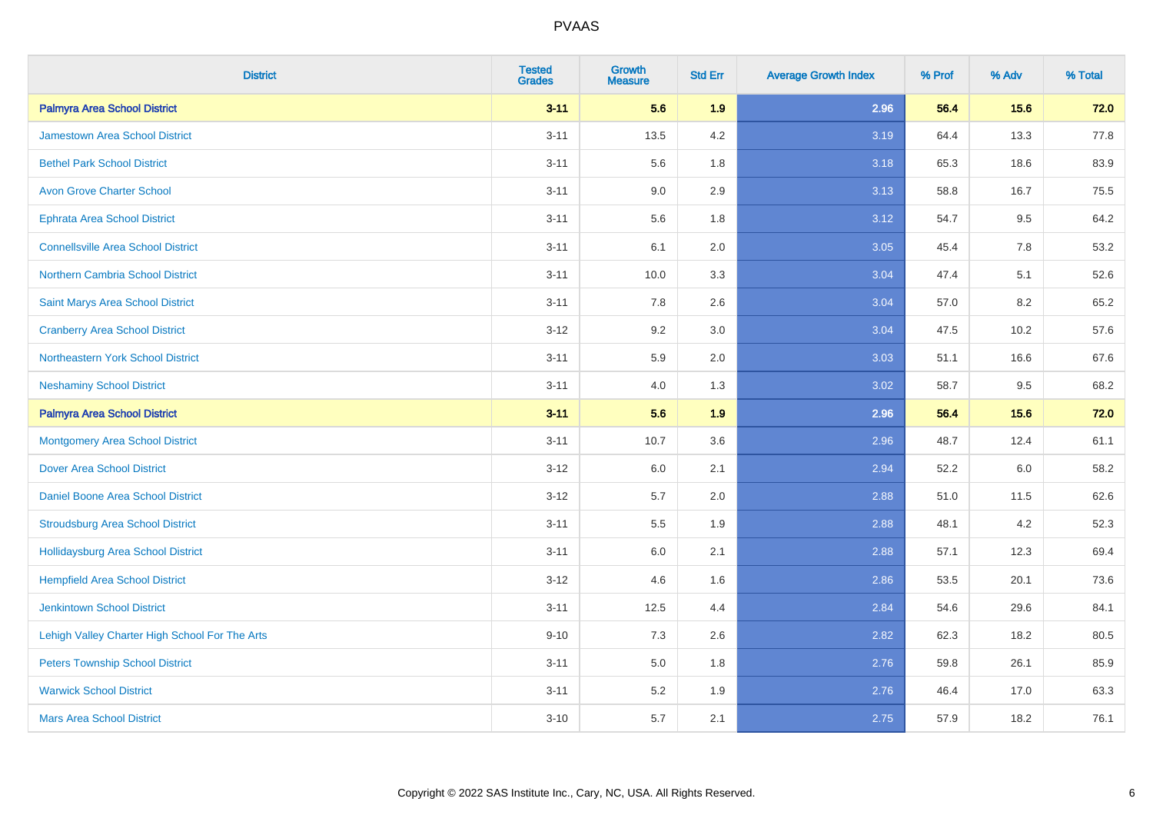| <b>District</b>                                | <b>Tested</b><br><b>Grades</b> | Growth<br><b>Measure</b> | <b>Std Err</b> | <b>Average Growth Index</b> | % Prof | % Adv | % Total |
|------------------------------------------------|--------------------------------|--------------------------|----------------|-----------------------------|--------|-------|---------|
| <b>Palmyra Area School District</b>            | $3 - 11$                       | 5.6                      | 1.9            | 2.96                        | 56.4   | 15.6  | 72.0    |
| <b>Jamestown Area School District</b>          | $3 - 11$                       | 13.5                     | 4.2            | 3.19                        | 64.4   | 13.3  | 77.8    |
| <b>Bethel Park School District</b>             | $3 - 11$                       | 5.6                      | 1.8            | 3.18                        | 65.3   | 18.6  | 83.9    |
| <b>Avon Grove Charter School</b>               | $3 - 11$                       | 9.0                      | 2.9            | 3.13                        | 58.8   | 16.7  | 75.5    |
| <b>Ephrata Area School District</b>            | $3 - 11$                       | 5.6                      | 1.8            | 3.12                        | 54.7   | 9.5   | 64.2    |
| <b>Connellsville Area School District</b>      | $3 - 11$                       | 6.1                      | 2.0            | 3.05                        | 45.4   | 7.8   | 53.2    |
| Northern Cambria School District               | $3 - 11$                       | 10.0                     | 3.3            | 3.04                        | 47.4   | 5.1   | 52.6    |
| Saint Marys Area School District               | $3 - 11$                       | 7.8                      | 2.6            | 3.04                        | 57.0   | 8.2   | 65.2    |
| <b>Cranberry Area School District</b>          | $3 - 12$                       | 9.2                      | 3.0            | 3.04                        | 47.5   | 10.2  | 57.6    |
| Northeastern York School District              | $3 - 11$                       | 5.9                      | 2.0            | 3.03                        | 51.1   | 16.6  | 67.6    |
| <b>Neshaminy School District</b>               | $3 - 11$                       | 4.0                      | 1.3            | 3.02                        | 58.7   | 9.5   | 68.2    |
| <b>Palmyra Area School District</b>            | $3 - 11$                       | 5.6                      | 1.9            | 2.96                        | 56.4   | 15.6  | 72.0    |
| <b>Montgomery Area School District</b>         | $3 - 11$                       | 10.7                     | 3.6            | 2.96                        | 48.7   | 12.4  | 61.1    |
| <b>Dover Area School District</b>              | $3 - 12$                       | 6.0                      | 2.1            | 2.94                        | 52.2   | 6.0   | 58.2    |
| <b>Daniel Boone Area School District</b>       | $3 - 12$                       | 5.7                      | 2.0            | 2.88                        | 51.0   | 11.5  | 62.6    |
| <b>Stroudsburg Area School District</b>        | $3 - 11$                       | 5.5                      | 1.9            | 2.88                        | 48.1   | 4.2   | 52.3    |
| <b>Hollidaysburg Area School District</b>      | $3 - 11$                       | 6.0                      | 2.1            | 2.88                        | 57.1   | 12.3  | 69.4    |
| <b>Hempfield Area School District</b>          | $3 - 12$                       | 4.6                      | 1.6            | 2.86                        | 53.5   | 20.1  | 73.6    |
| <b>Jenkintown School District</b>              | $3 - 11$                       | 12.5                     | 4.4            | 2.84                        | 54.6   | 29.6  | 84.1    |
| Lehigh Valley Charter High School For The Arts | $9 - 10$                       | 7.3                      | 2.6            | 2.82                        | 62.3   | 18.2  | 80.5    |
| <b>Peters Township School District</b>         | $3 - 11$                       | 5.0                      | 1.8            | 2.76                        | 59.8   | 26.1  | 85.9    |
| <b>Warwick School District</b>                 | $3 - 11$                       | 5.2                      | 1.9            | 2.76                        | 46.4   | 17.0  | 63.3    |
| <b>Mars Area School District</b>               | $3 - 10$                       | 5.7                      | 2.1            | 2.75                        | 57.9   | 18.2  | 76.1    |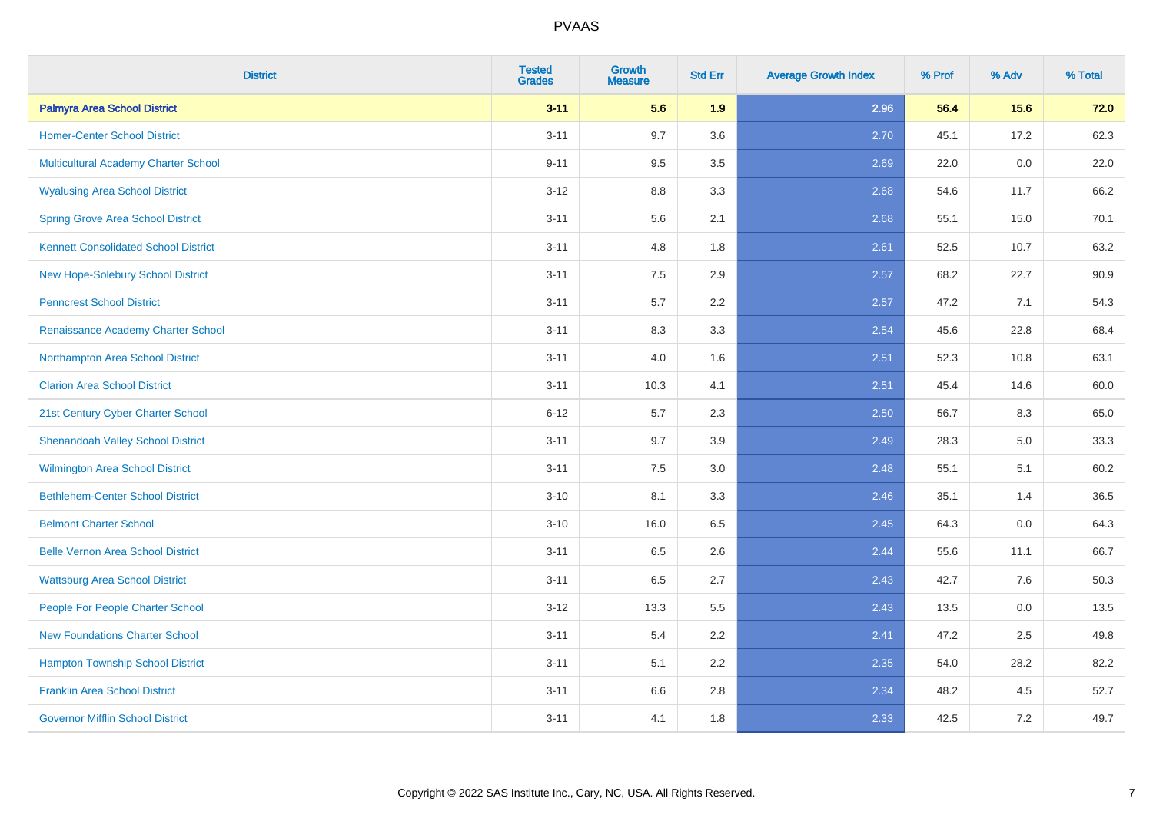| <b>District</b>                             | <b>Tested</b><br><b>Grades</b> | <b>Growth</b><br><b>Measure</b> | <b>Std Err</b> | <b>Average Growth Index</b> | % Prof | % Adv   | % Total |
|---------------------------------------------|--------------------------------|---------------------------------|----------------|-----------------------------|--------|---------|---------|
| <b>Palmyra Area School District</b>         | $3 - 11$                       | 5.6                             | 1.9            | 2.96                        | 56.4   | 15.6    | 72.0    |
| <b>Homer-Center School District</b>         | $3 - 11$                       | 9.7                             | 3.6            | 2.70                        | 45.1   | 17.2    | 62.3    |
| Multicultural Academy Charter School        | $9 - 11$                       | 9.5                             | 3.5            | 2.69                        | 22.0   | 0.0     | 22.0    |
| <b>Wyalusing Area School District</b>       | $3 - 12$                       | 8.8                             | 3.3            | 2.68                        | 54.6   | 11.7    | 66.2    |
| <b>Spring Grove Area School District</b>    | $3 - 11$                       | 5.6                             | 2.1            | 2.68                        | 55.1   | 15.0    | 70.1    |
| <b>Kennett Consolidated School District</b> | $3 - 11$                       | 4.8                             | 1.8            | 2.61                        | 52.5   | 10.7    | 63.2    |
| New Hope-Solebury School District           | $3 - 11$                       | 7.5                             | 2.9            | 2.57                        | 68.2   | 22.7    | 90.9    |
| <b>Penncrest School District</b>            | $3 - 11$                       | 5.7                             | 2.2            | 2.57                        | 47.2   | 7.1     | 54.3    |
| Renaissance Academy Charter School          | $3 - 11$                       | 8.3                             | 3.3            | 2.54                        | 45.6   | 22.8    | 68.4    |
| Northampton Area School District            | $3 - 11$                       | 4.0                             | 1.6            | 2.51                        | 52.3   | 10.8    | 63.1    |
| <b>Clarion Area School District</b>         | $3 - 11$                       | 10.3                            | 4.1            | 2.51                        | 45.4   | 14.6    | 60.0    |
| 21st Century Cyber Charter School           | $6 - 12$                       | 5.7                             | 2.3            | 2.50                        | 56.7   | 8.3     | 65.0    |
| <b>Shenandoah Valley School District</b>    | $3 - 11$                       | 9.7                             | 3.9            | 2.49                        | 28.3   | $5.0\,$ | 33.3    |
| Wilmington Area School District             | $3 - 11$                       | 7.5                             | 3.0            | 2.48                        | 55.1   | 5.1     | 60.2    |
| <b>Bethlehem-Center School District</b>     | $3 - 10$                       | 8.1                             | 3.3            | 2.46                        | 35.1   | 1.4     | 36.5    |
| <b>Belmont Charter School</b>               | $3 - 10$                       | 16.0                            | 6.5            | 2.45                        | 64.3   | $0.0\,$ | 64.3    |
| <b>Belle Vernon Area School District</b>    | $3 - 11$                       | 6.5                             | 2.6            | 2.44                        | 55.6   | 11.1    | 66.7    |
| <b>Wattsburg Area School District</b>       | $3 - 11$                       | 6.5                             | 2.7            | 2.43                        | 42.7   | 7.6     | 50.3    |
| People For People Charter School            | $3 - 12$                       | 13.3                            | 5.5            | 2.43                        | 13.5   | 0.0     | 13.5    |
| <b>New Foundations Charter School</b>       | $3 - 11$                       | 5.4                             | 2.2            | 2.41                        | 47.2   | 2.5     | 49.8    |
| <b>Hampton Township School District</b>     | $3 - 11$                       | 5.1                             | 2.2            | 2.35                        | 54.0   | 28.2    | 82.2    |
| <b>Franklin Area School District</b>        | $3 - 11$                       | 6.6                             | 2.8            | 2.34                        | 48.2   | 4.5     | 52.7    |
| <b>Governor Mifflin School District</b>     | $3 - 11$                       | 4.1                             | 1.8            | 2.33                        | 42.5   | 7.2     | 49.7    |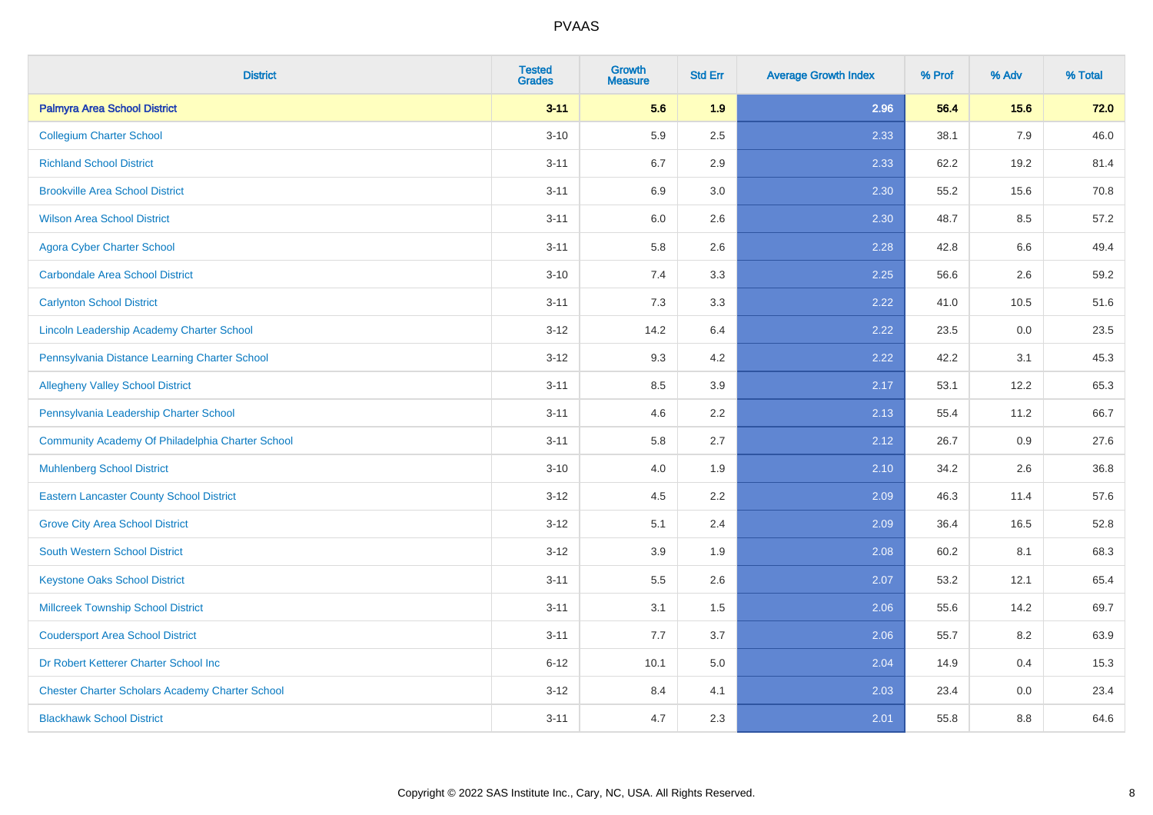| <b>District</b>                                        | <b>Tested</b><br><b>Grades</b> | <b>Growth</b><br><b>Measure</b> | <b>Std Err</b> | <b>Average Growth Index</b> | % Prof | % Adv | % Total |
|--------------------------------------------------------|--------------------------------|---------------------------------|----------------|-----------------------------|--------|-------|---------|
| <b>Palmyra Area School District</b>                    | $3 - 11$                       | 5.6                             | 1.9            | 2.96                        | 56.4   | 15.6  | 72.0    |
| <b>Collegium Charter School</b>                        | $3 - 10$                       | 5.9                             | 2.5            | 2.33                        | 38.1   | 7.9   | 46.0    |
| <b>Richland School District</b>                        | $3 - 11$                       | 6.7                             | 2.9            | 2.33                        | 62.2   | 19.2  | 81.4    |
| <b>Brookville Area School District</b>                 | $3 - 11$                       | 6.9                             | 3.0            | 2.30                        | 55.2   | 15.6  | 70.8    |
| <b>Wilson Area School District</b>                     | $3 - 11$                       | 6.0                             | 2.6            | 2.30                        | 48.7   | 8.5   | 57.2    |
| <b>Agora Cyber Charter School</b>                      | $3 - 11$                       | 5.8                             | 2.6            | 2.28                        | 42.8   | 6.6   | 49.4    |
| <b>Carbondale Area School District</b>                 | $3 - 10$                       | 7.4                             | 3.3            | 2.25                        | 56.6   | 2.6   | 59.2    |
| <b>Carlynton School District</b>                       | $3 - 11$                       | 7.3                             | 3.3            | 2.22                        | 41.0   | 10.5  | 51.6    |
| Lincoln Leadership Academy Charter School              | $3 - 12$                       | 14.2                            | 6.4            | 2.22                        | 23.5   | 0.0   | 23.5    |
| Pennsylvania Distance Learning Charter School          | $3 - 12$                       | 9.3                             | 4.2            | 2.22                        | 42.2   | 3.1   | 45.3    |
| <b>Allegheny Valley School District</b>                | $3 - 11$                       | 8.5                             | 3.9            | 2.17                        | 53.1   | 12.2  | 65.3    |
| Pennsylvania Leadership Charter School                 | $3 - 11$                       | 4.6                             | 2.2            | 2.13                        | 55.4   | 11.2  | 66.7    |
| Community Academy Of Philadelphia Charter School       | $3 - 11$                       | 5.8                             | 2.7            | 2.12                        | 26.7   | 0.9   | 27.6    |
| <b>Muhlenberg School District</b>                      | $3 - 10$                       | 4.0                             | 1.9            | 2.10                        | 34.2   | 2.6   | 36.8    |
| <b>Eastern Lancaster County School District</b>        | $3 - 12$                       | 4.5                             | 2.2            | 2.09                        | 46.3   | 11.4  | 57.6    |
| <b>Grove City Area School District</b>                 | $3 - 12$                       | 5.1                             | 2.4            | 2.09                        | 36.4   | 16.5  | 52.8    |
| <b>South Western School District</b>                   | $3 - 12$                       | 3.9                             | 1.9            | 2.08                        | 60.2   | 8.1   | 68.3    |
| <b>Keystone Oaks School District</b>                   | $3 - 11$                       | 5.5                             | 2.6            | 2.07                        | 53.2   | 12.1  | 65.4    |
| <b>Millcreek Township School District</b>              | $3 - 11$                       | 3.1                             | 1.5            | 2.06                        | 55.6   | 14.2  | 69.7    |
| <b>Coudersport Area School District</b>                | $3 - 11$                       | 7.7                             | 3.7            | 2.06                        | 55.7   | 8.2   | 63.9    |
| Dr Robert Ketterer Charter School Inc                  | $6 - 12$                       | 10.1                            | 5.0            | 2.04                        | 14.9   | 0.4   | 15.3    |
| <b>Chester Charter Scholars Academy Charter School</b> | $3 - 12$                       | 8.4                             | 4.1            | 2.03                        | 23.4   | 0.0   | 23.4    |
| <b>Blackhawk School District</b>                       | $3 - 11$                       | 4.7                             | 2.3            | 2.01                        | 55.8   | 8.8   | 64.6    |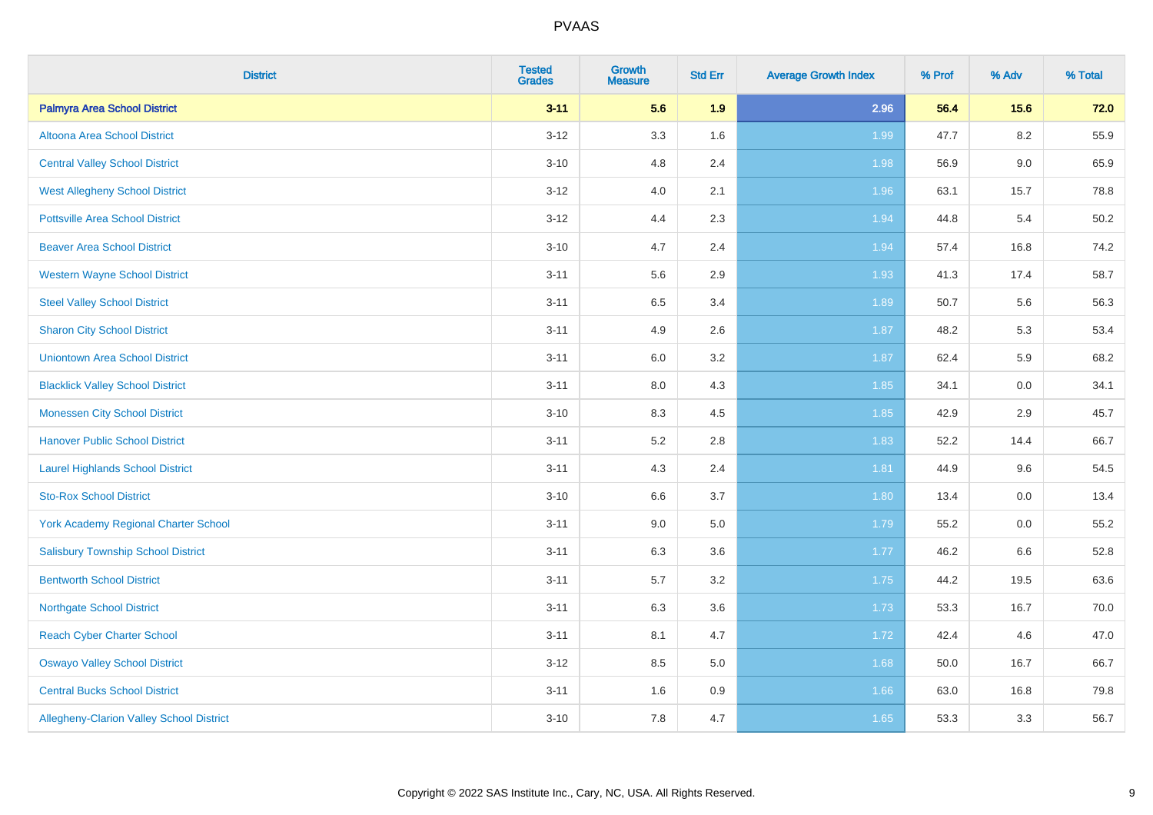| <b>District</b>                                 | <b>Tested</b><br><b>Grades</b> | <b>Growth</b><br><b>Measure</b> | <b>Std Err</b> | <b>Average Growth Index</b> | % Prof | % Adv   | % Total |
|-------------------------------------------------|--------------------------------|---------------------------------|----------------|-----------------------------|--------|---------|---------|
| <b>Palmyra Area School District</b>             | $3 - 11$                       | 5.6                             | 1.9            | 2.96                        | 56.4   | 15.6    | 72.0    |
| Altoona Area School District                    | $3 - 12$                       | 3.3                             | 1.6            | 1.99                        | 47.7   | $8.2\,$ | 55.9    |
| <b>Central Valley School District</b>           | $3 - 10$                       | 4.8                             | 2.4            | 1.98                        | 56.9   | $9.0\,$ | 65.9    |
| <b>West Allegheny School District</b>           | $3 - 12$                       | 4.0                             | 2.1            | 1.96                        | 63.1   | 15.7    | 78.8    |
| <b>Pottsville Area School District</b>          | $3 - 12$                       | 4.4                             | 2.3            | 1.94                        | 44.8   | 5.4     | 50.2    |
| <b>Beaver Area School District</b>              | $3 - 10$                       | 4.7                             | 2.4            | 1.94                        | 57.4   | 16.8    | 74.2    |
| <b>Western Wayne School District</b>            | $3 - 11$                       | 5.6                             | 2.9            | 1.93                        | 41.3   | 17.4    | 58.7    |
| <b>Steel Valley School District</b>             | $3 - 11$                       | 6.5                             | 3.4            | 1.89                        | 50.7   | 5.6     | 56.3    |
| <b>Sharon City School District</b>              | $3 - 11$                       | 4.9                             | 2.6            | 1.87                        | 48.2   | 5.3     | 53.4    |
| <b>Uniontown Area School District</b>           | $3 - 11$                       | 6.0                             | 3.2            | 1.87                        | 62.4   | 5.9     | 68.2    |
| <b>Blacklick Valley School District</b>         | $3 - 11$                       | 8.0                             | 4.3            | 1.85                        | 34.1   | 0.0     | 34.1    |
| <b>Monessen City School District</b>            | $3 - 10$                       | 8.3                             | 4.5            | 1.85                        | 42.9   | 2.9     | 45.7    |
| <b>Hanover Public School District</b>           | $3 - 11$                       | 5.2                             | 2.8            | 1.83                        | 52.2   | 14.4    | 66.7    |
| <b>Laurel Highlands School District</b>         | $3 - 11$                       | 4.3                             | 2.4            | 1.81                        | 44.9   | 9.6     | 54.5    |
| <b>Sto-Rox School District</b>                  | $3 - 10$                       | 6.6                             | 3.7            | 1.80                        | 13.4   | 0.0     | 13.4    |
| <b>York Academy Regional Charter School</b>     | $3 - 11$                       | 9.0                             | 5.0            | 1.79                        | 55.2   | $0.0\,$ | 55.2    |
| <b>Salisbury Township School District</b>       | $3 - 11$                       | 6.3                             | 3.6            | $1.77$                      | 46.2   | 6.6     | 52.8    |
| <b>Bentworth School District</b>                | $3 - 11$                       | 5.7                             | 3.2            | 1.75                        | 44.2   | 19.5    | 63.6    |
| <b>Northgate School District</b>                | $3 - 11$                       | 6.3                             | 3.6            | 1.73                        | 53.3   | 16.7    | 70.0    |
| <b>Reach Cyber Charter School</b>               | $3 - 11$                       | 8.1                             | 4.7            | 1.72                        | 42.4   | 4.6     | 47.0    |
| <b>Oswayo Valley School District</b>            | $3 - 12$                       | 8.5                             | 5.0            | 1.68                        | 50.0   | 16.7    | 66.7    |
| <b>Central Bucks School District</b>            | $3 - 11$                       | 1.6                             | 0.9            | 1.66                        | 63.0   | 16.8    | 79.8    |
| <b>Allegheny-Clarion Valley School District</b> | $3 - 10$                       | 7.8                             | 4.7            | 1.65                        | 53.3   | 3.3     | 56.7    |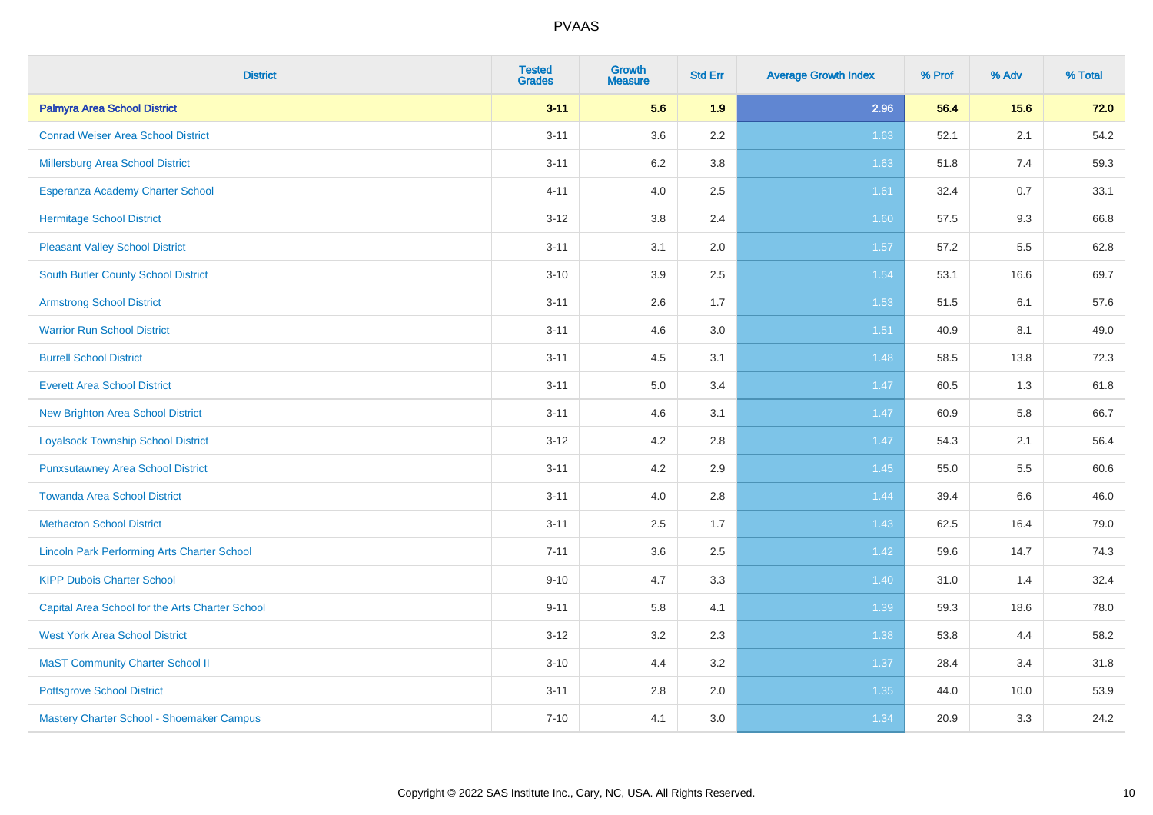| <b>District</b>                                    | <b>Tested</b><br><b>Grades</b> | <b>Growth</b><br><b>Measure</b> | <b>Std Err</b> | <b>Average Growth Index</b> | % Prof | % Adv | % Total |
|----------------------------------------------------|--------------------------------|---------------------------------|----------------|-----------------------------|--------|-------|---------|
| <b>Palmyra Area School District</b>                | $3 - 11$                       | 5.6                             | 1.9            | 2.96                        | 56.4   | 15.6  | 72.0    |
| <b>Conrad Weiser Area School District</b>          | $3 - 11$                       | 3.6                             | 2.2            | 1.63                        | 52.1   | 2.1   | 54.2    |
| Millersburg Area School District                   | $3 - 11$                       | $6.2\,$                         | 3.8            | 1.63                        | 51.8   | 7.4   | 59.3    |
| Esperanza Academy Charter School                   | $4 - 11$                       | 4.0                             | 2.5            | 1.61                        | 32.4   | 0.7   | 33.1    |
| <b>Hermitage School District</b>                   | $3 - 12$                       | 3.8                             | 2.4            | 1.60                        | 57.5   | 9.3   | 66.8    |
| <b>Pleasant Valley School District</b>             | $3 - 11$                       | 3.1                             | 2.0            | 1.57                        | 57.2   | 5.5   | 62.8    |
| <b>South Butler County School District</b>         | $3 - 10$                       | 3.9                             | 2.5            | 1.54                        | 53.1   | 16.6  | 69.7    |
| <b>Armstrong School District</b>                   | $3 - 11$                       | 2.6                             | 1.7            | 1.53                        | 51.5   | 6.1   | 57.6    |
| <b>Warrior Run School District</b>                 | $3 - 11$                       | 4.6                             | 3.0            | 1.51                        | 40.9   | 8.1   | 49.0    |
| <b>Burrell School District</b>                     | $3 - 11$                       | 4.5                             | 3.1            | 1.48                        | 58.5   | 13.8  | 72.3    |
| <b>Everett Area School District</b>                | $3 - 11$                       | 5.0                             | 3.4            | 1.47                        | 60.5   | 1.3   | 61.8    |
| <b>New Brighton Area School District</b>           | $3 - 11$                       | 4.6                             | 3.1            | 1.47                        | 60.9   | 5.8   | 66.7    |
| <b>Loyalsock Township School District</b>          | $3 - 12$                       | 4.2                             | 2.8            | 1.47                        | 54.3   | 2.1   | 56.4    |
| <b>Punxsutawney Area School District</b>           | $3 - 11$                       | 4.2                             | 2.9            | 1.45                        | 55.0   | 5.5   | 60.6    |
| <b>Towanda Area School District</b>                | $3 - 11$                       | 4.0                             | 2.8            | 1.44                        | 39.4   | 6.6   | 46.0    |
| <b>Methacton School District</b>                   | $3 - 11$                       | 2.5                             | 1.7            | 1.43                        | 62.5   | 16.4  | 79.0    |
| <b>Lincoln Park Performing Arts Charter School</b> | $7 - 11$                       | 3.6                             | 2.5            | 1.42                        | 59.6   | 14.7  | 74.3    |
| <b>KIPP Dubois Charter School</b>                  | $9 - 10$                       | 4.7                             | 3.3            | 1.40                        | 31.0   | 1.4   | 32.4    |
| Capital Area School for the Arts Charter School    | $9 - 11$                       | 5.8                             | 4.1            | 1.39                        | 59.3   | 18.6  | 78.0    |
| <b>West York Area School District</b>              | $3 - 12$                       | 3.2                             | 2.3            | 1.38                        | 53.8   | 4.4   | 58.2    |
| <b>MaST Community Charter School II</b>            | $3 - 10$                       | 4.4                             | 3.2            | 1.37                        | 28.4   | 3.4   | 31.8    |
| <b>Pottsgrove School District</b>                  | $3 - 11$                       | 2.8                             | 2.0            | 1.35                        | 44.0   | 10.0  | 53.9    |
| Mastery Charter School - Shoemaker Campus          | $7 - 10$                       | 4.1                             | 3.0            | 1.34                        | 20.9   | 3.3   | 24.2    |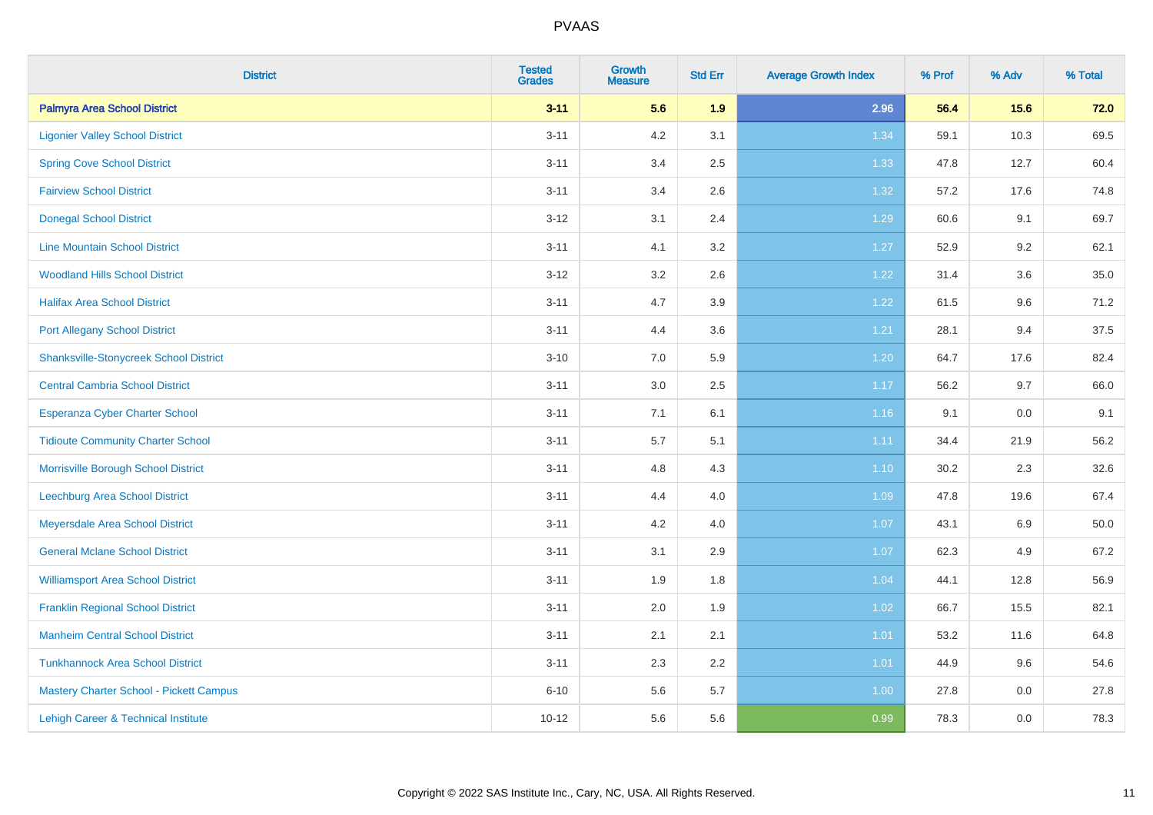| <b>District</b>                               | <b>Tested</b><br><b>Grades</b> | <b>Growth</b><br><b>Measure</b> | <b>Std Err</b> | <b>Average Growth Index</b> | % Prof | % Adv | % Total |
|-----------------------------------------------|--------------------------------|---------------------------------|----------------|-----------------------------|--------|-------|---------|
| <b>Palmyra Area School District</b>           | $3 - 11$                       | 5.6                             | 1.9            | 2.96                        | 56.4   | 15.6  | 72.0    |
| <b>Ligonier Valley School District</b>        | $3 - 11$                       | 4.2                             | 3.1            | 1.34                        | 59.1   | 10.3  | 69.5    |
| <b>Spring Cove School District</b>            | $3 - 11$                       | 3.4                             | 2.5            | 1.33                        | 47.8   | 12.7  | 60.4    |
| <b>Fairview School District</b>               | $3 - 11$                       | 3.4                             | 2.6            | 1.32                        | 57.2   | 17.6  | 74.8    |
| <b>Donegal School District</b>                | $3 - 12$                       | 3.1                             | 2.4            | 1.29                        | 60.6   | 9.1   | 69.7    |
| <b>Line Mountain School District</b>          | $3 - 11$                       | 4.1                             | 3.2            | 1.27                        | 52.9   | 9.2   | 62.1    |
| <b>Woodland Hills School District</b>         | $3 - 12$                       | 3.2                             | 2.6            | 1.22                        | 31.4   | 3.6   | 35.0    |
| <b>Halifax Area School District</b>           | $3 - 11$                       | 4.7                             | 3.9            | 1.22                        | 61.5   | 9.6   | 71.2    |
| <b>Port Allegany School District</b>          | $3 - 11$                       | 4.4                             | 3.6            | 1.21                        | 28.1   | 9.4   | 37.5    |
| <b>Shanksville-Stonycreek School District</b> | $3 - 10$                       | 7.0                             | 5.9            | 1.20                        | 64.7   | 17.6  | 82.4    |
| <b>Central Cambria School District</b>        | $3 - 11$                       | 3.0                             | 2.5            | 1.17                        | 56.2   | 9.7   | 66.0    |
| Esperanza Cyber Charter School                | $3 - 11$                       | 7.1                             | 6.1            | 1.16                        | 9.1    | 0.0   | 9.1     |
| <b>Tidioute Community Charter School</b>      | $3 - 11$                       | $5.7\,$                         | 5.1            | 1.11                        | 34.4   | 21.9  | 56.2    |
| Morrisville Borough School District           | $3 - 11$                       | 4.8                             | 4.3            | 1.10                        | 30.2   | 2.3   | 32.6    |
| <b>Leechburg Area School District</b>         | $3 - 11$                       | 4.4                             | 4.0            | 1.09                        | 47.8   | 19.6  | 67.4    |
| Meyersdale Area School District               | $3 - 11$                       | 4.2                             | 4.0            | 1.07                        | 43.1   | 6.9   | 50.0    |
| <b>General Mclane School District</b>         | $3 - 11$                       | 3.1                             | 2.9            | 1.07                        | 62.3   | 4.9   | 67.2    |
| <b>Williamsport Area School District</b>      | $3 - 11$                       | 1.9                             | 1.8            | 1.04                        | 44.1   | 12.8  | 56.9    |
| <b>Franklin Regional School District</b>      | $3 - 11$                       | 2.0                             | 1.9            | 1.02                        | 66.7   | 15.5  | 82.1    |
| <b>Manheim Central School District</b>        | $3 - 11$                       | 2.1                             | 2.1            | $1.01$                      | 53.2   | 11.6  | 64.8    |
| <b>Tunkhannock Area School District</b>       | $3 - 11$                       | 2.3                             | 2.2            | 1.01                        | 44.9   | 9.6   | 54.6    |
| Mastery Charter School - Pickett Campus       | $6 - 10$                       | 5.6                             | 5.7            | 1.00                        | 27.8   | 0.0   | 27.8    |
| Lehigh Career & Technical Institute           | $10 - 12$                      | 5.6                             | 5.6            | 0.99                        | 78.3   | 0.0   | 78.3    |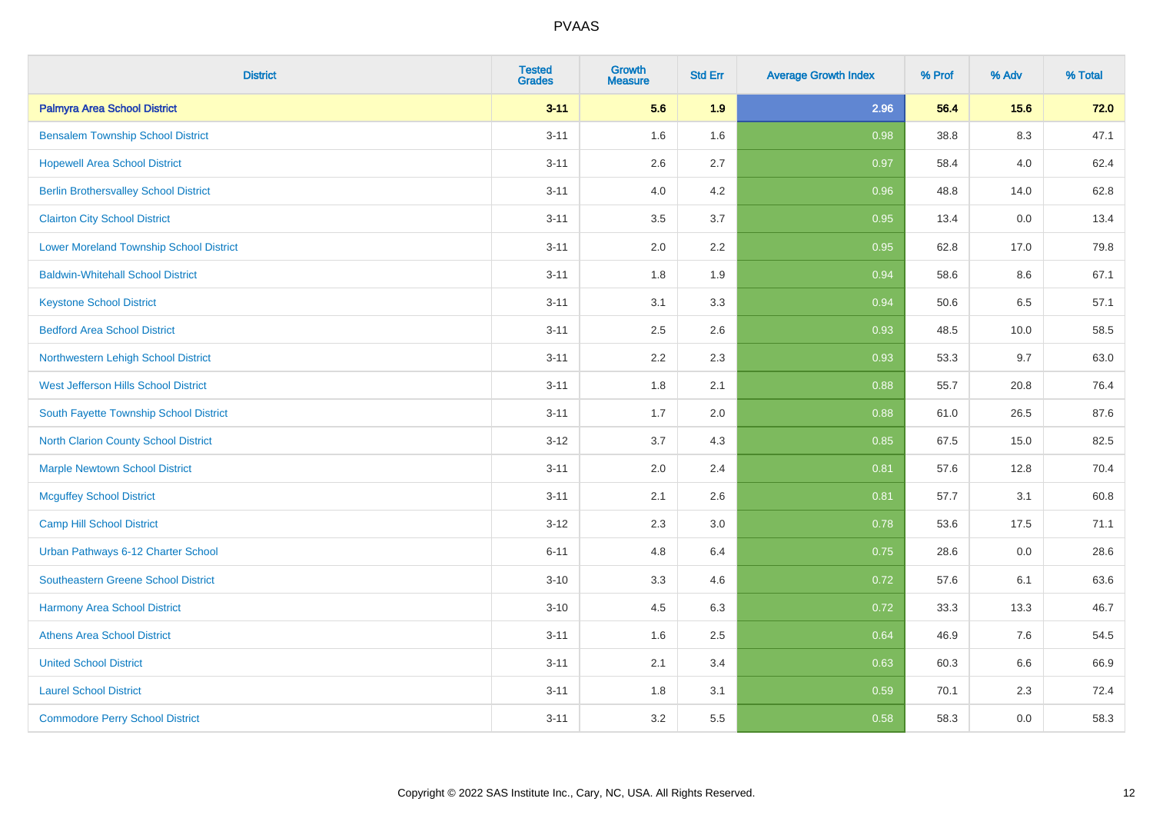| <b>District</b>                              | <b>Tested</b><br><b>Grades</b> | <b>Growth</b><br><b>Measure</b> | <b>Std Err</b> | <b>Average Growth Index</b> | % Prof | % Adv   | % Total |
|----------------------------------------------|--------------------------------|---------------------------------|----------------|-----------------------------|--------|---------|---------|
| <b>Palmyra Area School District</b>          | $3 - 11$                       | 5.6                             | 1.9            | 2.96                        | 56.4   | 15.6    | 72.0    |
| <b>Bensalem Township School District</b>     | $3 - 11$                       | 1.6                             | 1.6            | 0.98                        | 38.8   | $8.3\,$ | 47.1    |
| <b>Hopewell Area School District</b>         | $3 - 11$                       | 2.6                             | 2.7            | 0.97                        | 58.4   | 4.0     | 62.4    |
| <b>Berlin Brothersvalley School District</b> | $3 - 11$                       | 4.0                             | 4.2            | 0.96                        | 48.8   | 14.0    | 62.8    |
| <b>Clairton City School District</b>         | $3 - 11$                       | 3.5                             | 3.7            | 0.95                        | 13.4   | 0.0     | 13.4    |
| Lower Moreland Township School District      | $3 - 11$                       | 2.0                             | 2.2            | 0.95                        | 62.8   | 17.0    | 79.8    |
| <b>Baldwin-Whitehall School District</b>     | $3 - 11$                       | 1.8                             | 1.9            | 0.94                        | 58.6   | 8.6     | 67.1    |
| <b>Keystone School District</b>              | $3 - 11$                       | 3.1                             | 3.3            | 0.94                        | 50.6   | 6.5     | 57.1    |
| <b>Bedford Area School District</b>          | $3 - 11$                       | 2.5                             | 2.6            | 0.93                        | 48.5   | 10.0    | 58.5    |
| Northwestern Lehigh School District          | $3 - 11$                       | 2.2                             | 2.3            | 0.93                        | 53.3   | 9.7     | 63.0    |
| West Jefferson Hills School District         | $3 - 11$                       | 1.8                             | 2.1            | 0.88                        | 55.7   | 20.8    | 76.4    |
| South Fayette Township School District       | $3 - 11$                       | 1.7                             | 2.0            | 0.88                        | 61.0   | 26.5    | 87.6    |
| <b>North Clarion County School District</b>  | $3-12$                         | 3.7                             | 4.3            | 0.85                        | 67.5   | 15.0    | 82.5    |
| <b>Marple Newtown School District</b>        | $3 - 11$                       | 2.0                             | 2.4            | 0.81                        | 57.6   | 12.8    | 70.4    |
| <b>Mcguffey School District</b>              | $3 - 11$                       | 2.1                             | 2.6            | 0.81                        | 57.7   | 3.1     | 60.8    |
| Camp Hill School District                    | $3-12$                         | 2.3                             | 3.0            | 0.78                        | 53.6   | 17.5    | 71.1    |
| Urban Pathways 6-12 Charter School           | $6 - 11$                       | 4.8                             | 6.4            | 0.75                        | 28.6   | 0.0     | 28.6    |
| Southeastern Greene School District          | $3 - 10$                       | 3.3                             | 4.6            | 0.72                        | 57.6   | 6.1     | 63.6    |
| <b>Harmony Area School District</b>          | $3 - 10$                       | 4.5                             | 6.3            | 0.72                        | 33.3   | 13.3    | 46.7    |
| <b>Athens Area School District</b>           | $3 - 11$                       | 1.6                             | 2.5            | 0.64                        | 46.9   | 7.6     | 54.5    |
| <b>United School District</b>                | $3 - 11$                       | 2.1                             | 3.4            | 0.63                        | 60.3   | 6.6     | 66.9    |
| <b>Laurel School District</b>                | $3 - 11$                       | 1.8                             | 3.1            | 0.59                        | 70.1   | 2.3     | 72.4    |
| <b>Commodore Perry School District</b>       | $3 - 11$                       | 3.2                             | 5.5            | 0.58                        | 58.3   | 0.0     | 58.3    |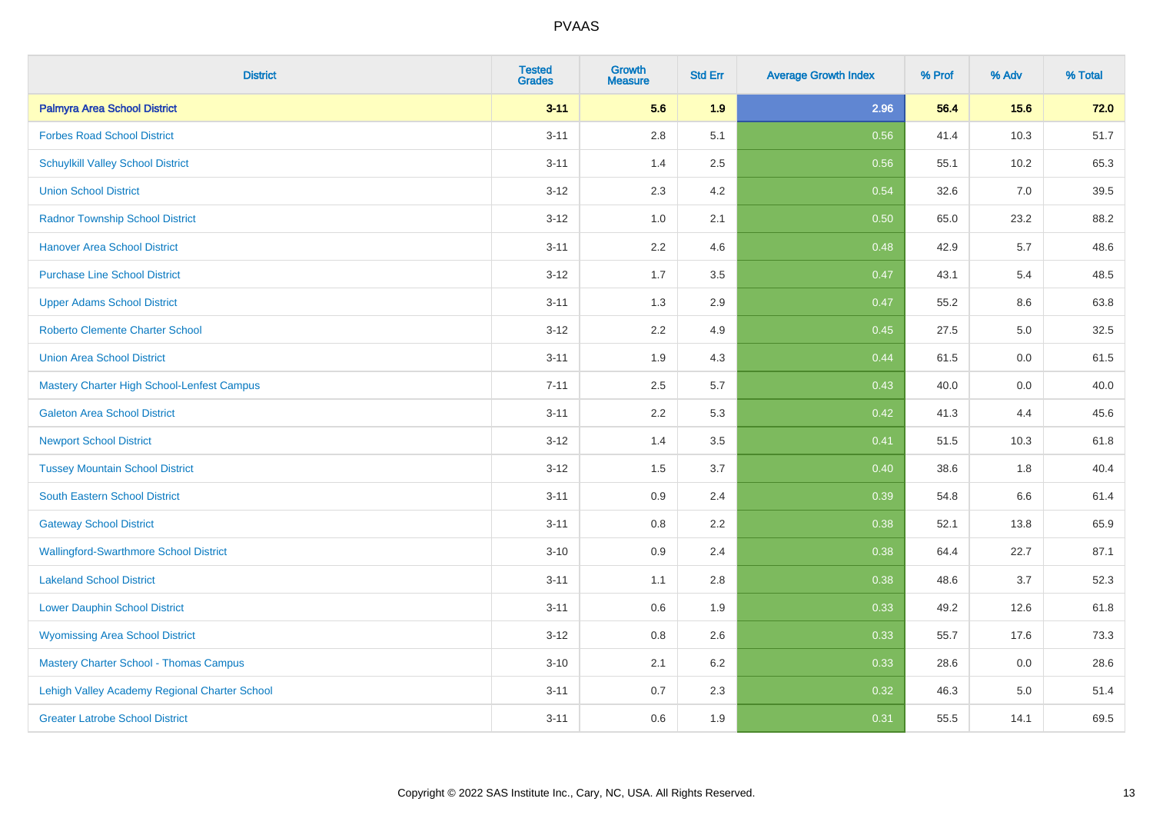| <b>District</b>                               | <b>Tested</b><br><b>Grades</b> | <b>Growth</b><br><b>Measure</b> | <b>Std Err</b> | <b>Average Growth Index</b> | % Prof | % Adv | % Total |
|-----------------------------------------------|--------------------------------|---------------------------------|----------------|-----------------------------|--------|-------|---------|
| <b>Palmyra Area School District</b>           | $3 - 11$                       | 5.6                             | 1.9            | 2.96                        | 56.4   | 15.6  | 72.0    |
| <b>Forbes Road School District</b>            | $3 - 11$                       | 2.8                             | 5.1            | 0.56                        | 41.4   | 10.3  | 51.7    |
| <b>Schuylkill Valley School District</b>      | $3 - 11$                       | 1.4                             | 2.5            | 0.56                        | 55.1   | 10.2  | 65.3    |
| <b>Union School District</b>                  | $3 - 12$                       | 2.3                             | 4.2            | 0.54                        | 32.6   | 7.0   | 39.5    |
| <b>Radnor Township School District</b>        | $3 - 12$                       | 1.0                             | 2.1            | 0.50                        | 65.0   | 23.2  | 88.2    |
| <b>Hanover Area School District</b>           | $3 - 11$                       | 2.2                             | 4.6            | 0.48                        | 42.9   | 5.7   | 48.6    |
| <b>Purchase Line School District</b>          | $3 - 12$                       | 1.7                             | 3.5            | 0.47                        | 43.1   | 5.4   | 48.5    |
| <b>Upper Adams School District</b>            | $3 - 11$                       | 1.3                             | 2.9            | 0.47                        | 55.2   | 8.6   | 63.8    |
| <b>Roberto Clemente Charter School</b>        | $3 - 12$                       | 2.2                             | 4.9            | 0.45                        | 27.5   | 5.0   | 32.5    |
| <b>Union Area School District</b>             | $3 - 11$                       | 1.9                             | 4.3            | 0.44                        | 61.5   | 0.0   | 61.5    |
| Mastery Charter High School-Lenfest Campus    | $7 - 11$                       | 2.5                             | 5.7            | $\boxed{0.43}$              | 40.0   | 0.0   | 40.0    |
| <b>Galeton Area School District</b>           | $3 - 11$                       | 2.2                             | 5.3            | 0.42                        | 41.3   | 4.4   | 45.6    |
| <b>Newport School District</b>                | $3 - 12$                       | 1.4                             | 3.5            | 0.41                        | 51.5   | 10.3  | 61.8    |
| <b>Tussey Mountain School District</b>        | $3 - 12$                       | 1.5                             | 3.7            | 0.40                        | 38.6   | 1.8   | 40.4    |
| <b>South Eastern School District</b>          | $3 - 11$                       | 0.9                             | 2.4            | 0.39                        | 54.8   | 6.6   | 61.4    |
| <b>Gateway School District</b>                | $3 - 11$                       | 0.8                             | 2.2            | 0.38                        | 52.1   | 13.8  | 65.9    |
| <b>Wallingford-Swarthmore School District</b> | $3 - 10$                       | 0.9                             | 2.4            | 0.38                        | 64.4   | 22.7  | 87.1    |
| <b>Lakeland School District</b>               | $3 - 11$                       | 1.1                             | 2.8            | 0.38                        | 48.6   | 3.7   | 52.3    |
| <b>Lower Dauphin School District</b>          | $3 - 11$                       | $0.6\,$                         | 1.9            | 0.33                        | 49.2   | 12.6  | 61.8    |
| <b>Wyomissing Area School District</b>        | $3 - 12$                       | $0.8\,$                         | 2.6            | 0.33                        | 55.7   | 17.6  | 73.3    |
| <b>Mastery Charter School - Thomas Campus</b> | $3 - 10$                       | 2.1                             | 6.2            | 0.33                        | 28.6   | 0.0   | 28.6    |
| Lehigh Valley Academy Regional Charter School | $3 - 11$                       | 0.7                             | 2.3            | 0.32                        | 46.3   | 5.0   | 51.4    |
| <b>Greater Latrobe School District</b>        | $3 - 11$                       | 0.6                             | 1.9            | 0.31                        | 55.5   | 14.1  | 69.5    |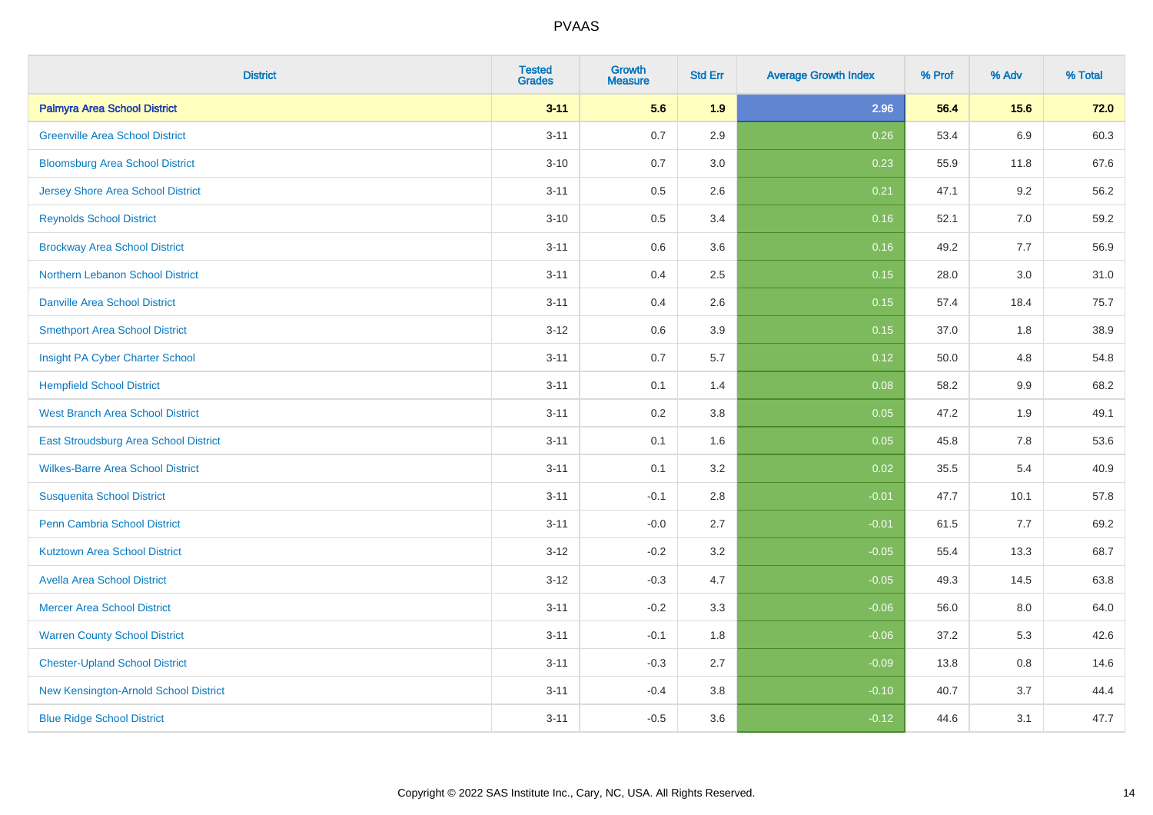| <b>District</b>                          | <b>Tested</b><br><b>Grades</b> | <b>Growth</b><br><b>Measure</b> | <b>Std Err</b> | <b>Average Growth Index</b> | % Prof | % Adv   | % Total |
|------------------------------------------|--------------------------------|---------------------------------|----------------|-----------------------------|--------|---------|---------|
| <b>Palmyra Area School District</b>      | $3 - 11$                       | 5.6                             | 1.9            | 2.96                        | 56.4   | 15.6    | 72.0    |
| <b>Greenville Area School District</b>   | $3 - 11$                       | 0.7                             | 2.9            | 0.26                        | 53.4   | 6.9     | 60.3    |
| <b>Bloomsburg Area School District</b>   | $3 - 10$                       | 0.7                             | 3.0            | 0.23                        | 55.9   | 11.8    | 67.6    |
| <b>Jersey Shore Area School District</b> | $3 - 11$                       | 0.5                             | 2.6            | 0.21                        | 47.1   | 9.2     | 56.2    |
| <b>Reynolds School District</b>          | $3 - 10$                       | 0.5                             | 3.4            | 0.16                        | 52.1   | 7.0     | 59.2    |
| <b>Brockway Area School District</b>     | $3 - 11$                       | 0.6                             | 3.6            | 0.16                        | 49.2   | 7.7     | 56.9    |
| Northern Lebanon School District         | $3 - 11$                       | 0.4                             | 2.5            | 0.15                        | 28.0   | 3.0     | 31.0    |
| <b>Danville Area School District</b>     | $3 - 11$                       | 0.4                             | 2.6            | 0.15                        | 57.4   | 18.4    | 75.7    |
| <b>Smethport Area School District</b>    | $3 - 12$                       | 0.6                             | 3.9            | 0.15                        | 37.0   | 1.8     | 38.9    |
| Insight PA Cyber Charter School          | $3 - 11$                       | 0.7                             | 5.7            | 0.12                        | 50.0   | 4.8     | 54.8    |
| <b>Hempfield School District</b>         | $3 - 11$                       | 0.1                             | 1.4            | 0.08                        | 58.2   | 9.9     | 68.2    |
| <b>West Branch Area School District</b>  | $3 - 11$                       | 0.2                             | 3.8            | 0.05                        | 47.2   | 1.9     | 49.1    |
| East Stroudsburg Area School District    | $3 - 11$                       | 0.1                             | 1.6            | 0.05                        | 45.8   | $7.8\,$ | 53.6    |
| <b>Wilkes-Barre Area School District</b> | $3 - 11$                       | 0.1                             | 3.2            | 0.02                        | 35.5   | 5.4     | 40.9    |
| <b>Susquenita School District</b>        | $3 - 11$                       | $-0.1$                          | 2.8            | $-0.01$                     | 47.7   | 10.1    | 57.8    |
| <b>Penn Cambria School District</b>      | $3 - 11$                       | $-0.0$                          | 2.7            | $-0.01$                     | 61.5   | 7.7     | 69.2    |
| <b>Kutztown Area School District</b>     | $3 - 12$                       | $-0.2$                          | 3.2            | $-0.05$                     | 55.4   | 13.3    | 68.7    |
| <b>Avella Area School District</b>       | $3 - 12$                       | $-0.3$                          | 4.7            | $-0.05$                     | 49.3   | 14.5    | 63.8    |
| <b>Mercer Area School District</b>       | $3 - 11$                       | $-0.2$                          | 3.3            | $-0.06$                     | 56.0   | 8.0     | 64.0    |
| <b>Warren County School District</b>     | $3 - 11$                       | $-0.1$                          | 1.8            | $-0.06$                     | 37.2   | 5.3     | 42.6    |
| <b>Chester-Upland School District</b>    | $3 - 11$                       | $-0.3$                          | 2.7            | $-0.09$                     | 13.8   | 0.8     | 14.6    |
| New Kensington-Arnold School District    | $3 - 11$                       | $-0.4$                          | 3.8            | $-0.10$                     | 40.7   | 3.7     | 44.4    |
| <b>Blue Ridge School District</b>        | $3 - 11$                       | $-0.5$                          | 3.6            | $-0.12$                     | 44.6   | 3.1     | 47.7    |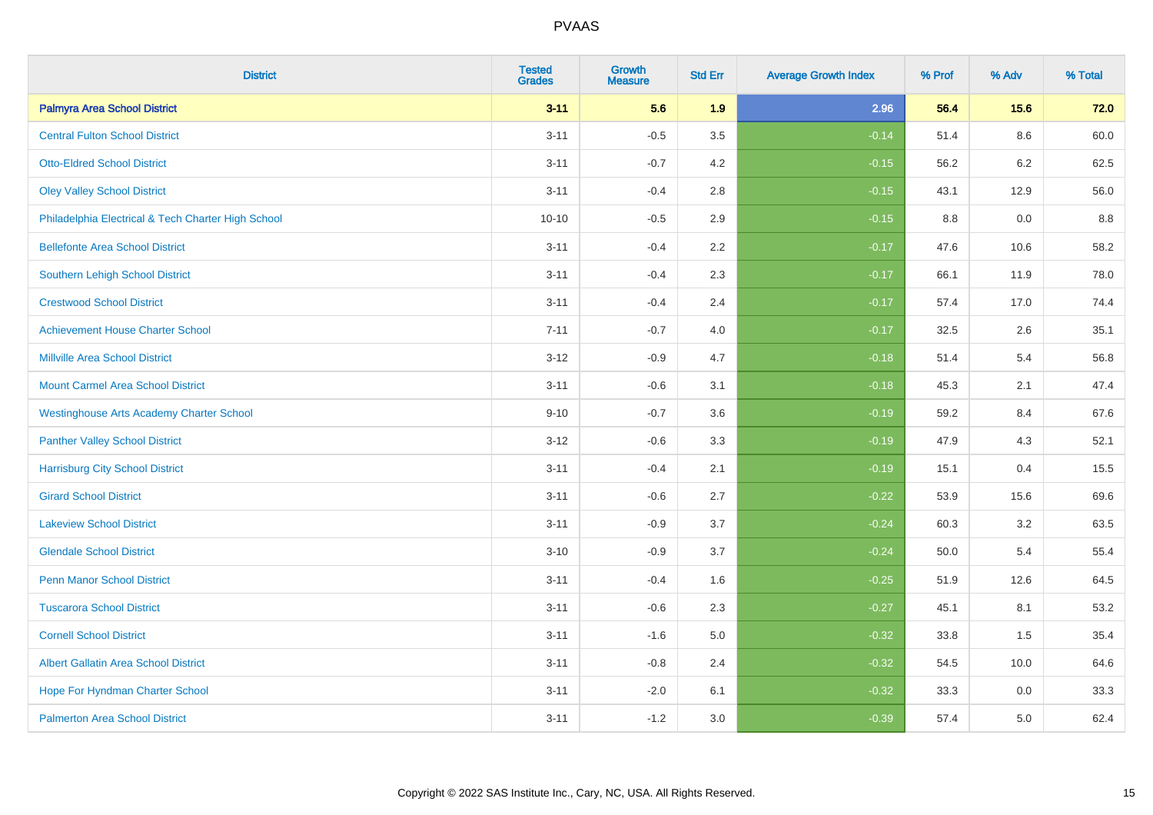| <b>District</b>                                    | <b>Tested</b><br><b>Grades</b> | <b>Growth</b><br><b>Measure</b> | <b>Std Err</b> | <b>Average Growth Index</b> | % Prof | % Adv   | % Total |
|----------------------------------------------------|--------------------------------|---------------------------------|----------------|-----------------------------|--------|---------|---------|
| <b>Palmyra Area School District</b>                | $3 - 11$                       | 5.6                             | 1.9            | 2.96                        | 56.4   | 15.6    | 72.0    |
| <b>Central Fulton School District</b>              | $3 - 11$                       | $-0.5$                          | 3.5            | $-0.14$                     | 51.4   | $8.6\,$ | 60.0    |
| <b>Otto-Eldred School District</b>                 | $3 - 11$                       | $-0.7$                          | 4.2            | $-0.15$                     | 56.2   | 6.2     | 62.5    |
| <b>Oley Valley School District</b>                 | $3 - 11$                       | $-0.4$                          | 2.8            | $-0.15$                     | 43.1   | 12.9    | 56.0    |
| Philadelphia Electrical & Tech Charter High School | $10 - 10$                      | $-0.5$                          | 2.9            | $-0.15$                     | 8.8    | 0.0     | 8.8     |
| <b>Bellefonte Area School District</b>             | $3 - 11$                       | $-0.4$                          | 2.2            | $-0.17$                     | 47.6   | 10.6    | 58.2    |
| Southern Lehigh School District                    | $3 - 11$                       | $-0.4$                          | 2.3            | $-0.17$                     | 66.1   | 11.9    | 78.0    |
| <b>Crestwood School District</b>                   | $3 - 11$                       | $-0.4$                          | 2.4            | $-0.17$                     | 57.4   | 17.0    | 74.4    |
| <b>Achievement House Charter School</b>            | $7 - 11$                       | $-0.7$                          | 4.0            | $-0.17$                     | 32.5   | 2.6     | 35.1    |
| <b>Millville Area School District</b>              | $3 - 12$                       | $-0.9$                          | 4.7            | $-0.18$                     | 51.4   | 5.4     | 56.8    |
| <b>Mount Carmel Area School District</b>           | $3 - 11$                       | $-0.6$                          | 3.1            | $-0.18$                     | 45.3   | 2.1     | 47.4    |
| <b>Westinghouse Arts Academy Charter School</b>    | $9 - 10$                       | $-0.7$                          | 3.6            | $-0.19$                     | 59.2   | 8.4     | 67.6    |
| <b>Panther Valley School District</b>              | $3-12$                         | $-0.6$                          | 3.3            | $-0.19$                     | 47.9   | 4.3     | 52.1    |
| <b>Harrisburg City School District</b>             | $3 - 11$                       | $-0.4$                          | 2.1            | $-0.19$                     | 15.1   | 0.4     | 15.5    |
| <b>Girard School District</b>                      | $3 - 11$                       | $-0.6$                          | 2.7            | $-0.22$                     | 53.9   | 15.6    | 69.6    |
| <b>Lakeview School District</b>                    | $3 - 11$                       | $-0.9$                          | 3.7            | $-0.24$                     | 60.3   | 3.2     | 63.5    |
| <b>Glendale School District</b>                    | $3 - 10$                       | $-0.9$                          | 3.7            | $-0.24$                     | 50.0   | 5.4     | 55.4    |
| <b>Penn Manor School District</b>                  | $3 - 11$                       | $-0.4$                          | 1.6            | $-0.25$                     | 51.9   | 12.6    | 64.5    |
| <b>Tuscarora School District</b>                   | $3 - 11$                       | $-0.6$                          | 2.3            | $-0.27$                     | 45.1   | 8.1     | 53.2    |
| <b>Cornell School District</b>                     | $3 - 11$                       | $-1.6$                          | 5.0            | $-0.32$                     | 33.8   | 1.5     | 35.4    |
| <b>Albert Gallatin Area School District</b>        | $3 - 11$                       | $-0.8$                          | 2.4            | $-0.32$                     | 54.5   | 10.0    | 64.6    |
| Hope For Hyndman Charter School                    | $3 - 11$                       | $-2.0$                          | 6.1            | $-0.32$                     | 33.3   | 0.0     | 33.3    |
| <b>Palmerton Area School District</b>              | $3 - 11$                       | $-1.2$                          | 3.0            | $-0.39$                     | 57.4   | 5.0     | 62.4    |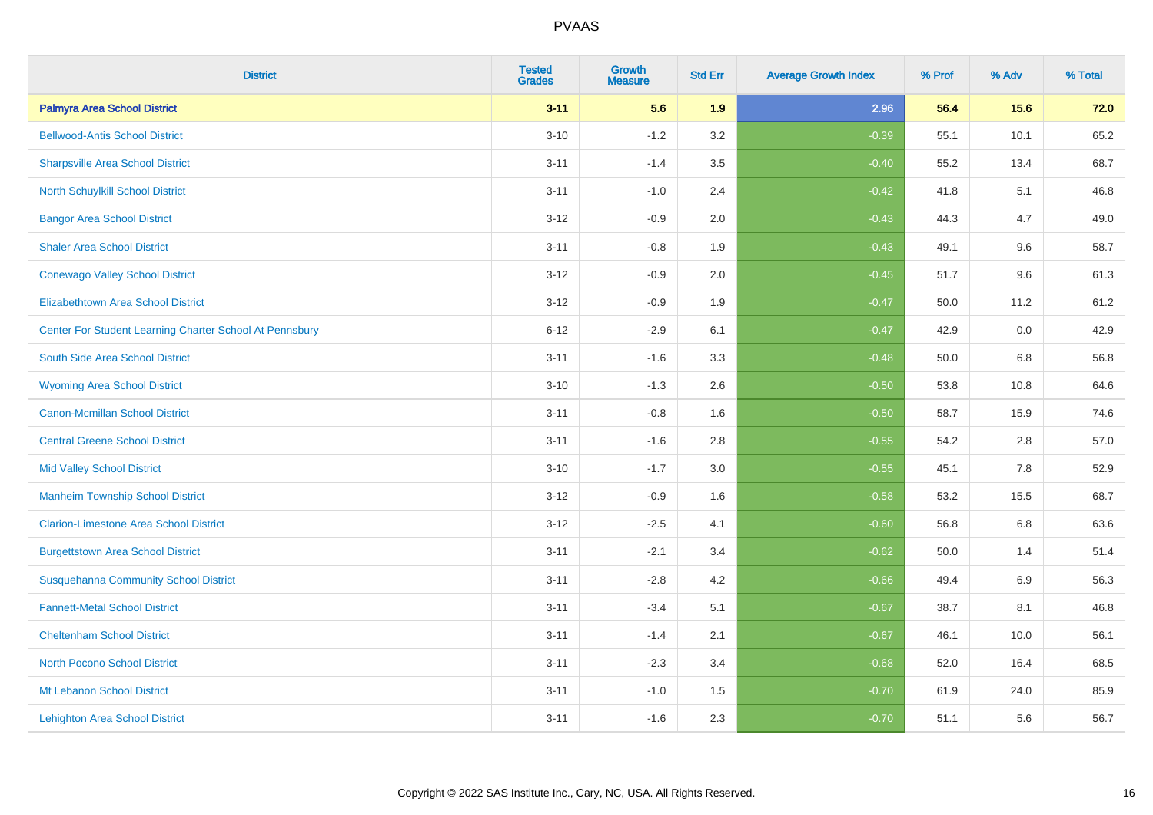| <b>District</b>                                         | <b>Tested</b><br><b>Grades</b> | <b>Growth</b><br><b>Measure</b> | <b>Std Err</b> | <b>Average Growth Index</b> | % Prof | % Adv   | % Total |
|---------------------------------------------------------|--------------------------------|---------------------------------|----------------|-----------------------------|--------|---------|---------|
| <b>Palmyra Area School District</b>                     | $3 - 11$                       | 5.6                             | 1.9            | 2.96                        | 56.4   | 15.6    | 72.0    |
| <b>Bellwood-Antis School District</b>                   | $3 - 10$                       | $-1.2$                          | 3.2            | $-0.39$                     | 55.1   | 10.1    | 65.2    |
| <b>Sharpsville Area School District</b>                 | $3 - 11$                       | $-1.4$                          | 3.5            | $-0.40$                     | 55.2   | 13.4    | 68.7    |
| North Schuylkill School District                        | $3 - 11$                       | $-1.0$                          | 2.4            | $-0.42$                     | 41.8   | 5.1     | 46.8    |
| <b>Bangor Area School District</b>                      | $3 - 12$                       | $-0.9$                          | 2.0            | $-0.43$                     | 44.3   | 4.7     | 49.0    |
| <b>Shaler Area School District</b>                      | $3 - 11$                       | $-0.8$                          | 1.9            | $-0.43$                     | 49.1   | 9.6     | 58.7    |
| <b>Conewago Valley School District</b>                  | $3 - 12$                       | $-0.9$                          | 2.0            | $-0.45$                     | 51.7   | 9.6     | 61.3    |
| <b>Elizabethtown Area School District</b>               | $3 - 12$                       | $-0.9$                          | 1.9            | $-0.47$                     | 50.0   | 11.2    | 61.2    |
| Center For Student Learning Charter School At Pennsbury | $6 - 12$                       | $-2.9$                          | 6.1            | $-0.47$                     | 42.9   | 0.0     | 42.9    |
| South Side Area School District                         | $3 - 11$                       | $-1.6$                          | 3.3            | $-0.48$                     | 50.0   | 6.8     | 56.8    |
| <b>Wyoming Area School District</b>                     | $3 - 10$                       | $-1.3$                          | 2.6            | $-0.50$                     | 53.8   | 10.8    | 64.6    |
| <b>Canon-Mcmillan School District</b>                   | $3 - 11$                       | $-0.8$                          | 1.6            | $-0.50$                     | 58.7   | 15.9    | 74.6    |
| <b>Central Greene School District</b>                   | $3 - 11$                       | $-1.6$                          | 2.8            | $-0.55$                     | 54.2   | $2.8\,$ | 57.0    |
| <b>Mid Valley School District</b>                       | $3 - 10$                       | $-1.7$                          | 3.0            | $-0.55$                     | 45.1   | 7.8     | 52.9    |
| <b>Manheim Township School District</b>                 | $3 - 12$                       | $-0.9$                          | 1.6            | $-0.58$                     | 53.2   | 15.5    | 68.7    |
| <b>Clarion-Limestone Area School District</b>           | $3 - 12$                       | $-2.5$                          | 4.1            | $-0.60$                     | 56.8   | $6.8\,$ | 63.6    |
| <b>Burgettstown Area School District</b>                | $3 - 11$                       | $-2.1$                          | 3.4            | $-0.62$                     | 50.0   | 1.4     | 51.4    |
| <b>Susquehanna Community School District</b>            | $3 - 11$                       | $-2.8$                          | 4.2            | $-0.66$                     | 49.4   | 6.9     | 56.3    |
| <b>Fannett-Metal School District</b>                    | $3 - 11$                       | $-3.4$                          | 5.1            | $-0.67$                     | 38.7   | 8.1     | 46.8    |
| <b>Cheltenham School District</b>                       | $3 - 11$                       | $-1.4$                          | 2.1            | $-0.67$                     | 46.1   | 10.0    | 56.1    |
| <b>North Pocono School District</b>                     | $3 - 11$                       | $-2.3$                          | 3.4            | $-0.68$                     | 52.0   | 16.4    | 68.5    |
| Mt Lebanon School District                              | $3 - 11$                       | $-1.0$                          | 1.5            | $-0.70$                     | 61.9   | 24.0    | 85.9    |
| <b>Lehighton Area School District</b>                   | $3 - 11$                       | $-1.6$                          | 2.3            | $-0.70$                     | 51.1   | 5.6     | 56.7    |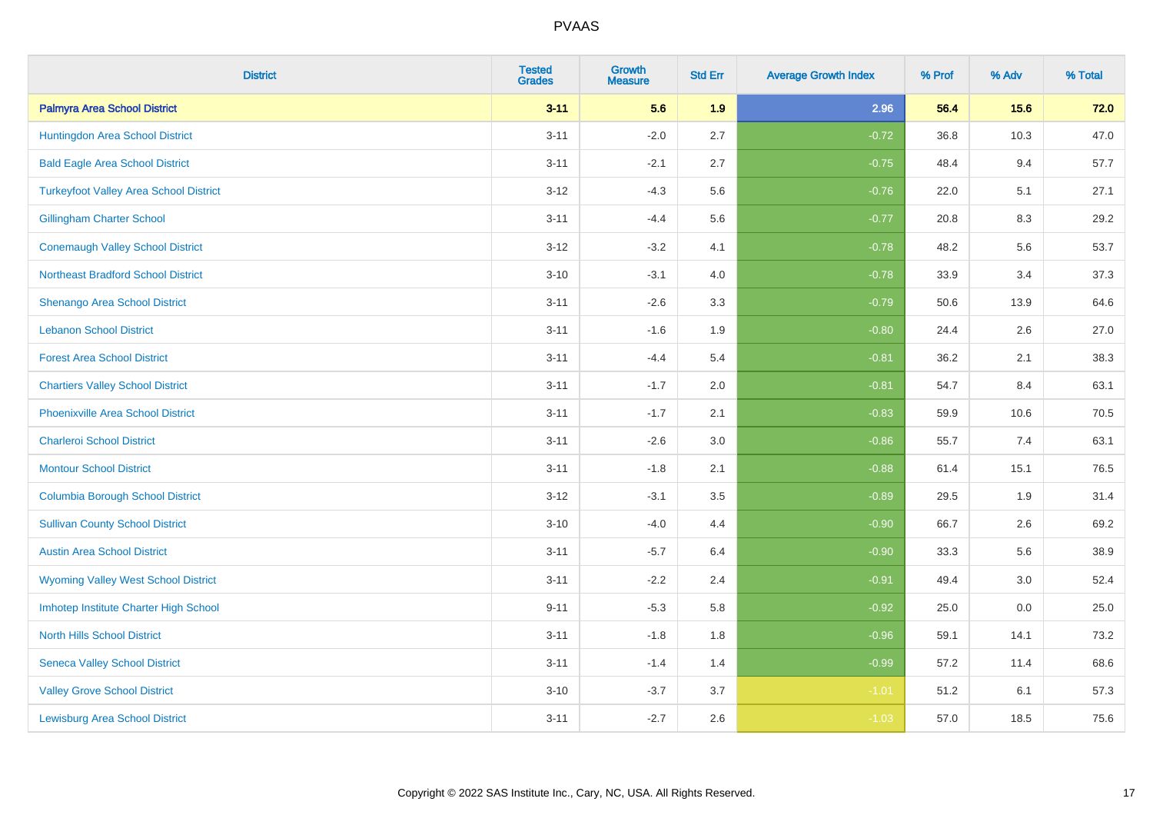| <b>District</b>                               | <b>Tested</b><br><b>Grades</b> | <b>Growth</b><br><b>Measure</b> | <b>Std Err</b> | <b>Average Growth Index</b> | % Prof | % Adv | % Total |
|-----------------------------------------------|--------------------------------|---------------------------------|----------------|-----------------------------|--------|-------|---------|
| <b>Palmyra Area School District</b>           | $3 - 11$                       | 5.6                             | 1.9            | 2.96                        | 56.4   | 15.6  | 72.0    |
| Huntingdon Area School District               | $3 - 11$                       | $-2.0$                          | 2.7            | $-0.72$                     | 36.8   | 10.3  | 47.0    |
| <b>Bald Eagle Area School District</b>        | $3 - 11$                       | $-2.1$                          | 2.7            | $-0.75$                     | 48.4   | 9.4   | 57.7    |
| <b>Turkeyfoot Valley Area School District</b> | $3 - 12$                       | $-4.3$                          | 5.6            | $-0.76$                     | 22.0   | 5.1   | 27.1    |
| <b>Gillingham Charter School</b>              | $3 - 11$                       | $-4.4$                          | 5.6            | $-0.77$                     | 20.8   | 8.3   | 29.2    |
| <b>Conemaugh Valley School District</b>       | $3 - 12$                       | $-3.2$                          | 4.1            | $-0.78$                     | 48.2   | 5.6   | 53.7    |
| <b>Northeast Bradford School District</b>     | $3 - 10$                       | $-3.1$                          | 4.0            | $-0.78$                     | 33.9   | 3.4   | 37.3    |
| <b>Shenango Area School District</b>          | $3 - 11$                       | $-2.6$                          | 3.3            | $-0.79$                     | 50.6   | 13.9  | 64.6    |
| <b>Lebanon School District</b>                | $3 - 11$                       | $-1.6$                          | 1.9            | $-0.80$                     | 24.4   | 2.6   | 27.0    |
| <b>Forest Area School District</b>            | $3 - 11$                       | $-4.4$                          | 5.4            | $-0.81$                     | 36.2   | 2.1   | 38.3    |
| <b>Chartiers Valley School District</b>       | $3 - 11$                       | $-1.7$                          | 2.0            | $-0.81$                     | 54.7   | 8.4   | 63.1    |
| <b>Phoenixville Area School District</b>      | $3 - 11$                       | $-1.7$                          | 2.1            | $-0.83$                     | 59.9   | 10.6  | 70.5    |
| <b>Charleroi School District</b>              | $3 - 11$                       | $-2.6$                          | 3.0            | $-0.86$                     | 55.7   | 7.4   | 63.1    |
| <b>Montour School District</b>                | $3 - 11$                       | $-1.8$                          | 2.1            | $-0.88$                     | 61.4   | 15.1  | 76.5    |
| <b>Columbia Borough School District</b>       | $3 - 12$                       | $-3.1$                          | 3.5            | $-0.89$                     | 29.5   | 1.9   | 31.4    |
| <b>Sullivan County School District</b>        | $3 - 10$                       | $-4.0$                          | 4.4            | $-0.90$                     | 66.7   | 2.6   | 69.2    |
| <b>Austin Area School District</b>            | $3 - 11$                       | $-5.7$                          | 6.4            | $-0.90$                     | 33.3   | 5.6   | 38.9    |
| <b>Wyoming Valley West School District</b>    | $3 - 11$                       | $-2.2$                          | 2.4            | $-0.91$                     | 49.4   | 3.0   | 52.4    |
| Imhotep Institute Charter High School         | $9 - 11$                       | $-5.3$                          | 5.8            | $-0.92$                     | 25.0   | 0.0   | 25.0    |
| <b>North Hills School District</b>            | $3 - 11$                       | $-1.8$                          | 1.8            | $-0.96$                     | 59.1   | 14.1  | 73.2    |
| <b>Seneca Valley School District</b>          | $3 - 11$                       | $-1.4$                          | 1.4            | $-0.99$                     | 57.2   | 11.4  | 68.6    |
| <b>Valley Grove School District</b>           | $3 - 10$                       | $-3.7$                          | 3.7            | $-1.01$                     | 51.2   | 6.1   | 57.3    |
| <b>Lewisburg Area School District</b>         | $3 - 11$                       | $-2.7$                          | 2.6            | $-1.03$                     | 57.0   | 18.5  | 75.6    |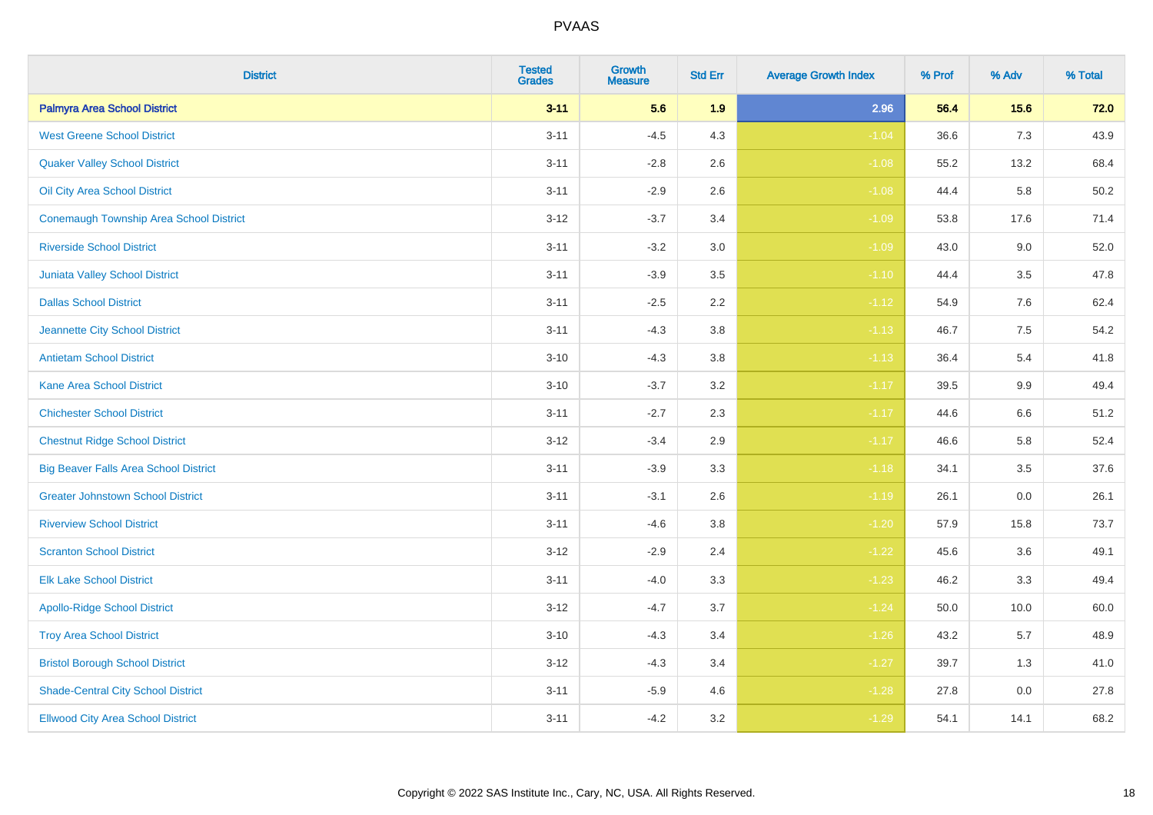| <b>District</b>                                | <b>Tested</b><br><b>Grades</b> | <b>Growth</b><br><b>Measure</b> | <b>Std Err</b> | <b>Average Growth Index</b> | % Prof | % Adv | % Total |
|------------------------------------------------|--------------------------------|---------------------------------|----------------|-----------------------------|--------|-------|---------|
| <b>Palmyra Area School District</b>            | $3 - 11$                       | 5.6                             | 1.9            | 2.96                        | 56.4   | 15.6  | 72.0    |
| <b>West Greene School District</b>             | $3 - 11$                       | $-4.5$                          | 4.3            | $-1.04$                     | 36.6   | $7.3$ | 43.9    |
| <b>Quaker Valley School District</b>           | $3 - 11$                       | $-2.8$                          | 2.6            | $-1.08$                     | 55.2   | 13.2  | 68.4    |
| Oil City Area School District                  | $3 - 11$                       | $-2.9$                          | 2.6            | $-1.08$                     | 44.4   | 5.8   | 50.2    |
| <b>Conemaugh Township Area School District</b> | $3 - 12$                       | $-3.7$                          | 3.4            | $-1.09$                     | 53.8   | 17.6  | 71.4    |
| <b>Riverside School District</b>               | $3 - 11$                       | $-3.2$                          | 3.0            | $-1.09$                     | 43.0   | 9.0   | 52.0    |
| Juniata Valley School District                 | $3 - 11$                       | $-3.9$                          | 3.5            | $-1.10$                     | 44.4   | 3.5   | 47.8    |
| <b>Dallas School District</b>                  | $3 - 11$                       | $-2.5$                          | 2.2            | $-1.12$                     | 54.9   | 7.6   | 62.4    |
| Jeannette City School District                 | $3 - 11$                       | $-4.3$                          | 3.8            | $-1.13$                     | 46.7   | 7.5   | 54.2    |
| <b>Antietam School District</b>                | $3 - 10$                       | $-4.3$                          | 3.8            | $-1.13$                     | 36.4   | 5.4   | 41.8    |
| <b>Kane Area School District</b>               | $3 - 10$                       | $-3.7$                          | 3.2            | $-1.17$                     | 39.5   | 9.9   | 49.4    |
| <b>Chichester School District</b>              | $3 - 11$                       | $-2.7$                          | 2.3            | $-1.17$                     | 44.6   | 6.6   | 51.2    |
| <b>Chestnut Ridge School District</b>          | $3 - 12$                       | $-3.4$                          | 2.9            | $-1.17$                     | 46.6   | 5.8   | 52.4    |
| <b>Big Beaver Falls Area School District</b>   | $3 - 11$                       | $-3.9$                          | 3.3            | $-1.18$                     | 34.1   | 3.5   | 37.6    |
| <b>Greater Johnstown School District</b>       | $3 - 11$                       | $-3.1$                          | 2.6            | $-1.19$                     | 26.1   | 0.0   | 26.1    |
| <b>Riverview School District</b>               | $3 - 11$                       | $-4.6$                          | 3.8            | $-1.20$                     | 57.9   | 15.8  | 73.7    |
| <b>Scranton School District</b>                | $3 - 12$                       | $-2.9$                          | 2.4            | $-1.22$                     | 45.6   | 3.6   | 49.1    |
| <b>Elk Lake School District</b>                | $3 - 11$                       | $-4.0$                          | 3.3            | $-1.23$                     | 46.2   | 3.3   | 49.4    |
| <b>Apollo-Ridge School District</b>            | $3 - 12$                       | $-4.7$                          | 3.7            | $-1.24$                     | 50.0   | 10.0  | 60.0    |
| <b>Troy Area School District</b>               | $3 - 10$                       | $-4.3$                          | 3.4            | $-1.26$                     | 43.2   | 5.7   | 48.9    |
| <b>Bristol Borough School District</b>         | $3 - 12$                       | $-4.3$                          | 3.4            | $-1.27$                     | 39.7   | 1.3   | 41.0    |
| <b>Shade-Central City School District</b>      | $3 - 11$                       | $-5.9$                          | 4.6            | $-1.28$                     | 27.8   | 0.0   | 27.8    |
| <b>Ellwood City Area School District</b>       | $3 - 11$                       | $-4.2$                          | 3.2            | $-1.29$                     | 54.1   | 14.1  | 68.2    |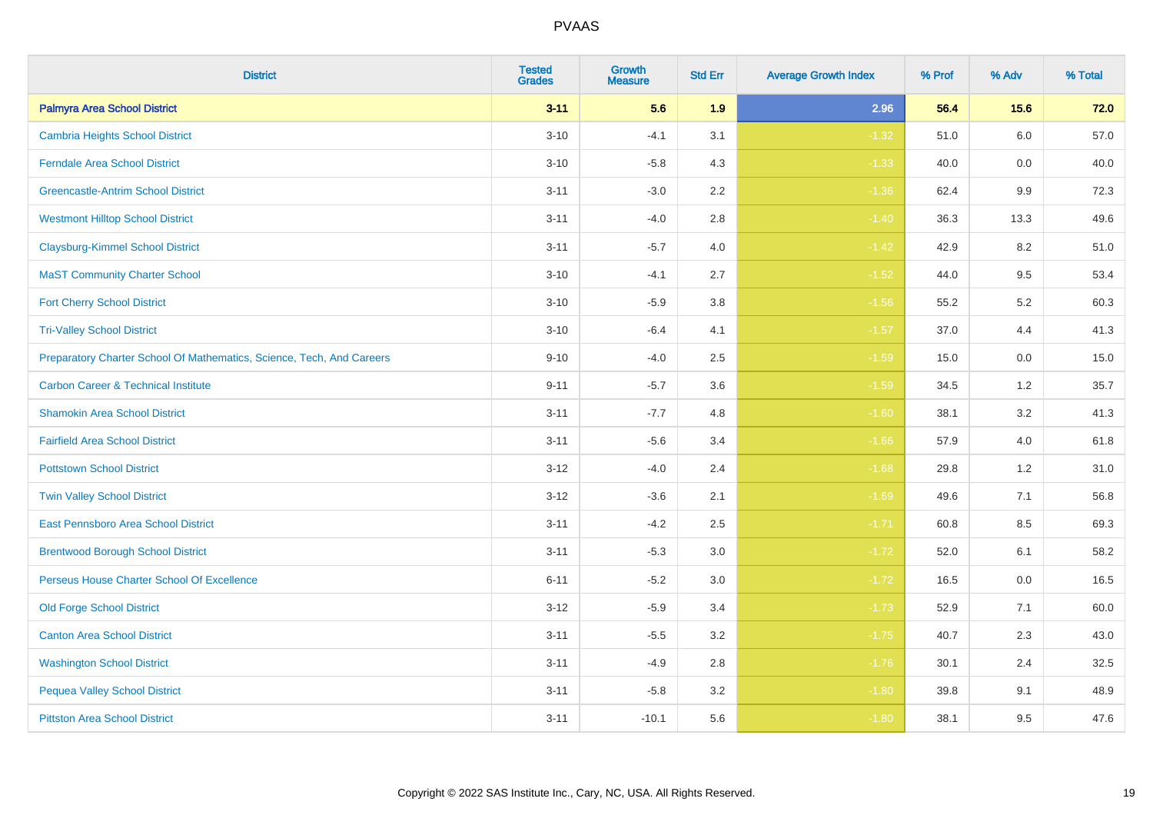| <b>District</b>                                                       | <b>Tested</b><br><b>Grades</b> | Growth<br><b>Measure</b> | <b>Std Err</b> | <b>Average Growth Index</b> | % Prof | % Adv   | % Total |
|-----------------------------------------------------------------------|--------------------------------|--------------------------|----------------|-----------------------------|--------|---------|---------|
| <b>Palmyra Area School District</b>                                   | $3 - 11$                       | 5.6                      | 1.9            | 2.96                        | 56.4   | 15.6    | 72.0    |
| <b>Cambria Heights School District</b>                                | $3 - 10$                       | $-4.1$                   | 3.1            | $-1.32$                     | 51.0   | 6.0     | 57.0    |
| <b>Ferndale Area School District</b>                                  | $3 - 10$                       | $-5.8$                   | 4.3            | $-1.33$                     | 40.0   | 0.0     | 40.0    |
| <b>Greencastle-Antrim School District</b>                             | $3 - 11$                       | $-3.0$                   | $2.2\,$        | $-1.36$                     | 62.4   | 9.9     | 72.3    |
| <b>Westmont Hilltop School District</b>                               | $3 - 11$                       | $-4.0$                   | 2.8            | $-1.40$                     | 36.3   | 13.3    | 49.6    |
| <b>Claysburg-Kimmel School District</b>                               | $3 - 11$                       | $-5.7$                   | 4.0            | $-1.42$                     | 42.9   | 8.2     | 51.0    |
| <b>MaST Community Charter School</b>                                  | $3 - 10$                       | $-4.1$                   | 2.7            | $-1.52$                     | 44.0   | 9.5     | 53.4    |
| <b>Fort Cherry School District</b>                                    | $3 - 10$                       | $-5.9$                   | 3.8            | $-1.56$                     | 55.2   | 5.2     | 60.3    |
| <b>Tri-Valley School District</b>                                     | $3 - 10$                       | $-6.4$                   | 4.1            | $-1.57$                     | 37.0   | 4.4     | 41.3    |
| Preparatory Charter School Of Mathematics, Science, Tech, And Careers | $9 - 10$                       | $-4.0$                   | $2.5\,$        | $-1.59$                     | 15.0   | $0.0\,$ | 15.0    |
| <b>Carbon Career &amp; Technical Institute</b>                        | $9 - 11$                       | $-5.7$                   | 3.6            | $-1.59$                     | 34.5   | 1.2     | 35.7    |
| <b>Shamokin Area School District</b>                                  | $3 - 11$                       | $-7.7$                   | 4.8            | $-1.60$                     | 38.1   | 3.2     | 41.3    |
| <b>Fairfield Area School District</b>                                 | $3 - 11$                       | $-5.6$                   | 3.4            | $-1.66$                     | 57.9   | 4.0     | 61.8    |
| <b>Pottstown School District</b>                                      | $3 - 12$                       | $-4.0$                   | 2.4            | $-1.68$                     | 29.8   | $1.2$   | 31.0    |
| <b>Twin Valley School District</b>                                    | $3 - 12$                       | $-3.6$                   | 2.1            | $-1.69$                     | 49.6   | 7.1     | 56.8    |
| <b>East Pennsboro Area School District</b>                            | $3 - 11$                       | $-4.2$                   | 2.5            | $-1.71$                     | 60.8   | 8.5     | 69.3    |
| <b>Brentwood Borough School District</b>                              | $3 - 11$                       | $-5.3$                   | 3.0            | $-1.72$                     | 52.0   | 6.1     | 58.2    |
| Perseus House Charter School Of Excellence                            | $6 - 11$                       | $-5.2$                   | 3.0            | $-1.72$                     | 16.5   | 0.0     | 16.5    |
| <b>Old Forge School District</b>                                      | $3 - 12$                       | $-5.9$                   | 3.4            | $-1.73$                     | 52.9   | 7.1     | 60.0    |
| <b>Canton Area School District</b>                                    | $3 - 11$                       | $-5.5$                   | 3.2            | $-1.75$                     | 40.7   | 2.3     | 43.0    |
| <b>Washington School District</b>                                     | $3 - 11$                       | $-4.9$                   | 2.8            | $-1.76$                     | 30.1   | 2.4     | 32.5    |
| <b>Pequea Valley School District</b>                                  | $3 - 11$                       | $-5.8$                   | 3.2            | $-1.80$                     | 39.8   | 9.1     | 48.9    |
| <b>Pittston Area School District</b>                                  | $3 - 11$                       | $-10.1$                  | 5.6            | $-1.80$                     | 38.1   | 9.5     | 47.6    |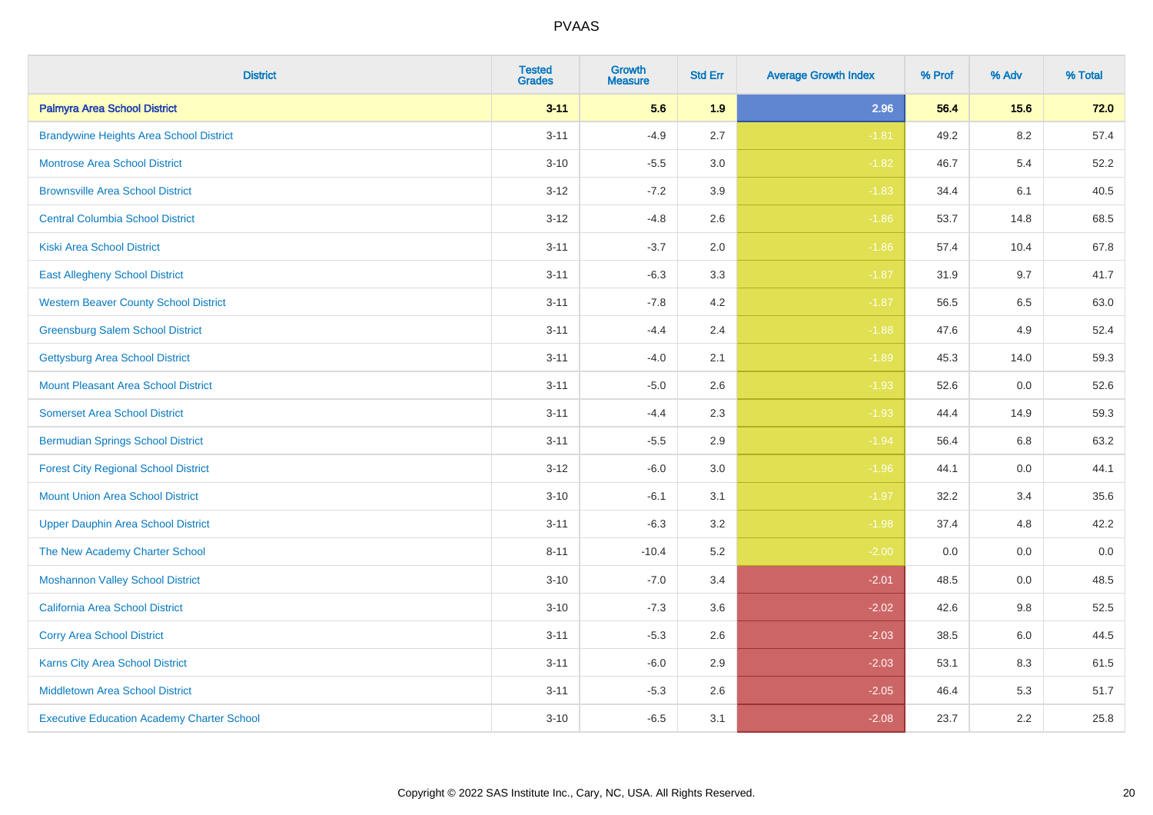| <b>District</b>                                   | <b>Tested</b><br><b>Grades</b> | <b>Growth</b><br><b>Measure</b> | <b>Std Err</b> | <b>Average Growth Index</b> | % Prof | % Adv   | % Total |
|---------------------------------------------------|--------------------------------|---------------------------------|----------------|-----------------------------|--------|---------|---------|
| <b>Palmyra Area School District</b>               | $3 - 11$                       | 5.6                             | 1.9            | 2.96                        | 56.4   | 15.6    | 72.0    |
| <b>Brandywine Heights Area School District</b>    | $3 - 11$                       | $-4.9$                          | 2.7            | $-1.81$                     | 49.2   | $8.2\,$ | 57.4    |
| <b>Montrose Area School District</b>              | $3 - 10$                       | $-5.5$                          | 3.0            | $-1.82$                     | 46.7   | 5.4     | 52.2    |
| <b>Brownsville Area School District</b>           | $3-12$                         | $-7.2$                          | 3.9            | $-1.83$                     | 34.4   | 6.1     | 40.5    |
| <b>Central Columbia School District</b>           | $3 - 12$                       | $-4.8$                          | 2.6            | $-1.86$                     | 53.7   | 14.8    | 68.5    |
| <b>Kiski Area School District</b>                 | $3 - 11$                       | $-3.7$                          | 2.0            | $-1.86$                     | 57.4   | 10.4    | 67.8    |
| <b>East Allegheny School District</b>             | $3 - 11$                       | $-6.3$                          | 3.3            | $-1.87$                     | 31.9   | 9.7     | 41.7    |
| <b>Western Beaver County School District</b>      | $3 - 11$                       | $-7.8$                          | 4.2            | $-1.87$                     | 56.5   | 6.5     | 63.0    |
| <b>Greensburg Salem School District</b>           | $3 - 11$                       | $-4.4$                          | 2.4            | $-1.88$                     | 47.6   | 4.9     | 52.4    |
| Gettysburg Area School District                   | $3 - 11$                       | $-4.0$                          | 2.1            | $-1.89$                     | 45.3   | 14.0    | 59.3    |
| <b>Mount Pleasant Area School District</b>        | $3 - 11$                       | $-5.0$                          | 2.6            | $-1.93$                     | 52.6   | 0.0     | 52.6    |
| <b>Somerset Area School District</b>              | $3 - 11$                       | $-4.4$                          | 2.3            | $-1.93$                     | 44.4   | 14.9    | 59.3    |
| <b>Bermudian Springs School District</b>          | $3 - 11$                       | $-5.5$                          | 2.9            | $-1.94$                     | 56.4   | 6.8     | 63.2    |
| <b>Forest City Regional School District</b>       | $3-12$                         | $-6.0$                          | 3.0            | $-1.96$                     | 44.1   | 0.0     | 44.1    |
| <b>Mount Union Area School District</b>           | $3 - 10$                       | $-6.1$                          | 3.1            | $-1.97$                     | 32.2   | 3.4     | 35.6    |
| <b>Upper Dauphin Area School District</b>         | $3 - 11$                       | $-6.3$                          | 3.2            | $-1.98$                     | 37.4   | 4.8     | 42.2    |
| The New Academy Charter School                    | $8 - 11$                       | $-10.4$                         | 5.2            | $-2.00$                     | 0.0    | 0.0     | 0.0     |
| <b>Moshannon Valley School District</b>           | $3 - 10$                       | $-7.0$                          | 3.4            | $-2.01$                     | 48.5   | 0.0     | 48.5    |
| <b>California Area School District</b>            | $3 - 10$                       | $-7.3$                          | 3.6            | $-2.02$                     | 42.6   | 9.8     | 52.5    |
| <b>Corry Area School District</b>                 | $3 - 11$                       | $-5.3$                          | 2.6            | $-2.03$                     | 38.5   | $6.0\,$ | 44.5    |
| Karns City Area School District                   | $3 - 11$                       | $-6.0$                          | 2.9            | $-2.03$                     | 53.1   | 8.3     | 61.5    |
| <b>Middletown Area School District</b>            | $3 - 11$                       | $-5.3$                          | 2.6            | $-2.05$                     | 46.4   | 5.3     | 51.7    |
| <b>Executive Education Academy Charter School</b> | $3 - 10$                       | $-6.5$                          | 3.1            | $-2.08$                     | 23.7   | 2.2     | 25.8    |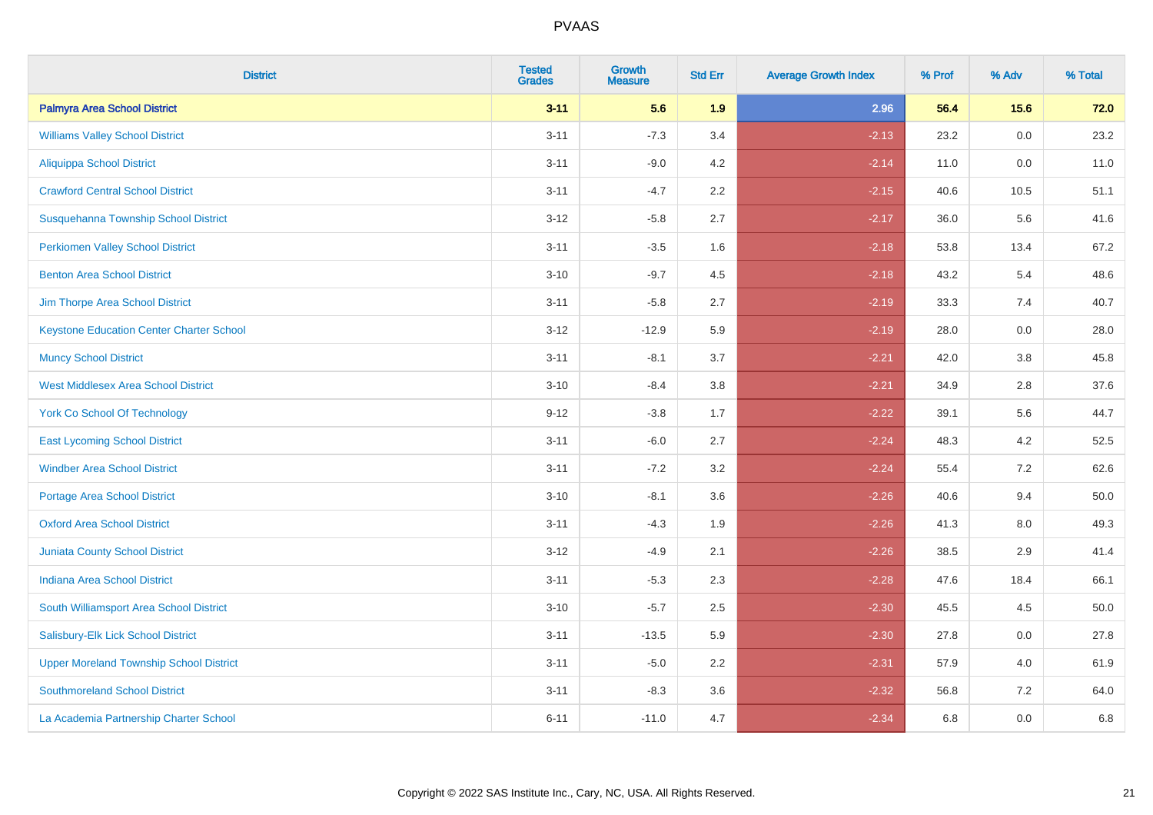| <b>District</b>                                 | <b>Tested</b><br><b>Grades</b> | <b>Growth</b><br><b>Measure</b> | <b>Std Err</b> | <b>Average Growth Index</b> | % Prof | % Adv   | % Total |
|-------------------------------------------------|--------------------------------|---------------------------------|----------------|-----------------------------|--------|---------|---------|
| <b>Palmyra Area School District</b>             | $3 - 11$                       | 5.6                             | 1.9            | 2.96                        | 56.4   | 15.6    | 72.0    |
| <b>Williams Valley School District</b>          | $3 - 11$                       | $-7.3$                          | 3.4            | $-2.13$                     | 23.2   | 0.0     | 23.2    |
| <b>Aliquippa School District</b>                | $3 - 11$                       | $-9.0$                          | 4.2            | $-2.14$                     | 11.0   | 0.0     | 11.0    |
| <b>Crawford Central School District</b>         | $3 - 11$                       | $-4.7$                          | 2.2            | $-2.15$                     | 40.6   | 10.5    | 51.1    |
| Susquehanna Township School District            | $3 - 12$                       | $-5.8$                          | 2.7            | $-2.17$                     | 36.0   | 5.6     | 41.6    |
| <b>Perkiomen Valley School District</b>         | $3 - 11$                       | $-3.5$                          | 1.6            | $-2.18$                     | 53.8   | 13.4    | 67.2    |
| <b>Benton Area School District</b>              | $3 - 10$                       | $-9.7$                          | 4.5            | $-2.18$                     | 43.2   | 5.4     | 48.6    |
| Jim Thorpe Area School District                 | $3 - 11$                       | $-5.8$                          | 2.7            | $-2.19$                     | 33.3   | 7.4     | 40.7    |
| <b>Keystone Education Center Charter School</b> | $3 - 12$                       | $-12.9$                         | 5.9            | $-2.19$                     | 28.0   | 0.0     | 28.0    |
| <b>Muncy School District</b>                    | $3 - 11$                       | $-8.1$                          | 3.7            | $-2.21$                     | 42.0   | 3.8     | 45.8    |
| <b>West Middlesex Area School District</b>      | $3 - 10$                       | $-8.4$                          | 3.8            | $-2.21$                     | 34.9   | 2.8     | 37.6    |
| <b>York Co School Of Technology</b>             | $9 - 12$                       | $-3.8$                          | 1.7            | $-2.22$                     | 39.1   | 5.6     | 44.7    |
| <b>East Lycoming School District</b>            | $3 - 11$                       | $-6.0$                          | 2.7            | $-2.24$                     | 48.3   | 4.2     | 52.5    |
| <b>Windber Area School District</b>             | $3 - 11$                       | $-7.2$                          | 3.2            | $-2.24$                     | 55.4   | 7.2     | 62.6    |
| <b>Portage Area School District</b>             | $3 - 10$                       | $-8.1$                          | 3.6            | $-2.26$                     | 40.6   | 9.4     | 50.0    |
| <b>Oxford Area School District</b>              | $3 - 11$                       | $-4.3$                          | 1.9            | $-2.26$                     | 41.3   | $8.0\,$ | 49.3    |
| <b>Juniata County School District</b>           | $3 - 12$                       | $-4.9$                          | 2.1            | $-2.26$                     | 38.5   | 2.9     | 41.4    |
| <b>Indiana Area School District</b>             | $3 - 11$                       | $-5.3$                          | 2.3            | $-2.28$                     | 47.6   | 18.4    | 66.1    |
| South Williamsport Area School District         | $3 - 10$                       | $-5.7$                          | 2.5            | $-2.30$                     | 45.5   | 4.5     | 50.0    |
| Salisbury-Elk Lick School District              | $3 - 11$                       | $-13.5$                         | 5.9            | $-2.30$                     | 27.8   | 0.0     | 27.8    |
| <b>Upper Moreland Township School District</b>  | $3 - 11$                       | $-5.0$                          | 2.2            | $-2.31$                     | 57.9   | 4.0     | 61.9    |
| <b>Southmoreland School District</b>            | $3 - 11$                       | $-8.3$                          | 3.6            | $-2.32$                     | 56.8   | 7.2     | 64.0    |
| La Academia Partnership Charter School          | $6 - 11$                       | $-11.0$                         | 4.7            | $-2.34$                     | 6.8    | 0.0     | 6.8     |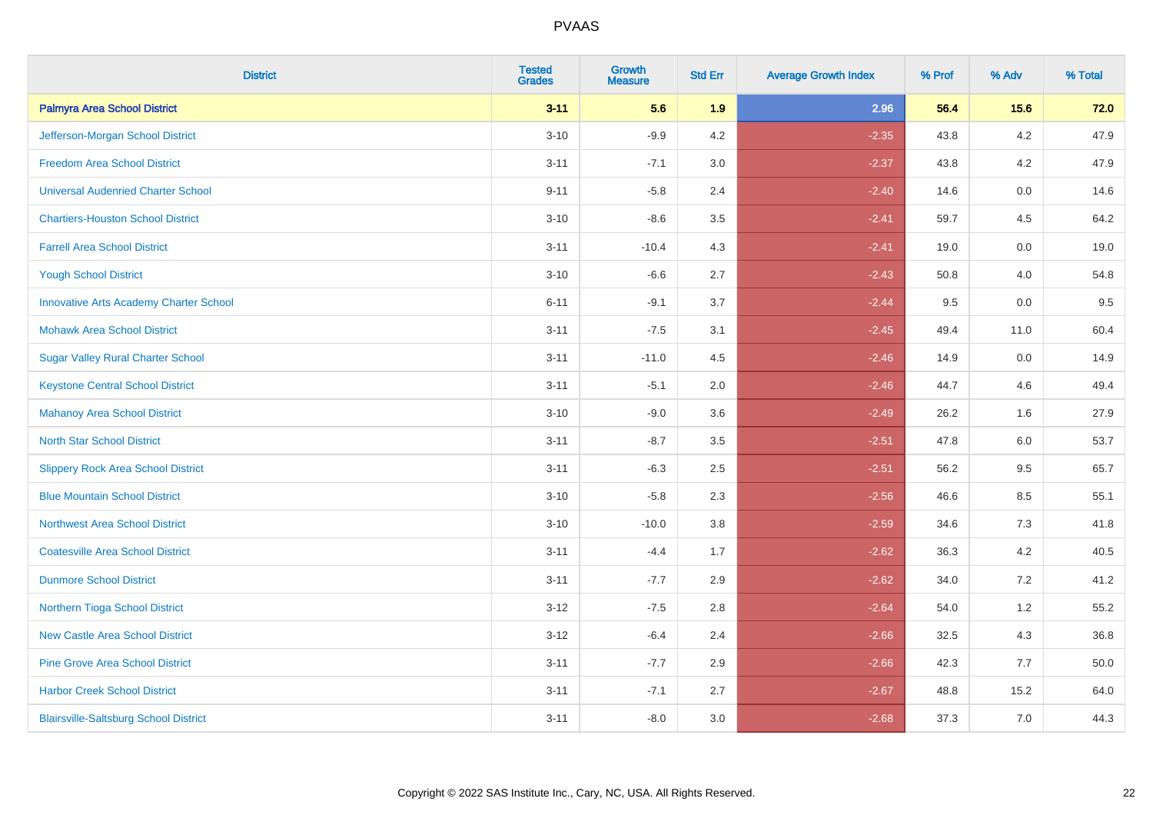| <b>District</b>                               | <b>Tested</b><br><b>Grades</b> | <b>Growth</b><br><b>Measure</b> | <b>Std Err</b> | <b>Average Growth Index</b> | % Prof | % Adv   | % Total |
|-----------------------------------------------|--------------------------------|---------------------------------|----------------|-----------------------------|--------|---------|---------|
| <b>Palmyra Area School District</b>           | $3 - 11$                       | 5.6                             | 1.9            | 2.96                        | 56.4   | 15.6    | 72.0    |
| Jefferson-Morgan School District              | $3 - 10$                       | $-9.9$                          | 4.2            | $-2.35$                     | 43.8   | 4.2     | 47.9    |
| <b>Freedom Area School District</b>           | $3 - 11$                       | $-7.1$                          | 3.0            | $-2.37$                     | 43.8   | 4.2     | 47.9    |
| <b>Universal Audenried Charter School</b>     | $9 - 11$                       | $-5.8$                          | 2.4            | $-2.40$                     | 14.6   | 0.0     | 14.6    |
| <b>Chartiers-Houston School District</b>      | $3 - 10$                       | $-8.6$                          | 3.5            | $-2.41$                     | 59.7   | 4.5     | 64.2    |
| <b>Farrell Area School District</b>           | $3 - 11$                       | $-10.4$                         | 4.3            | $-2.41$                     | 19.0   | $0.0\,$ | 19.0    |
| <b>Yough School District</b>                  | $3 - 10$                       | $-6.6$                          | 2.7            | $-2.43$                     | 50.8   | 4.0     | 54.8    |
| <b>Innovative Arts Academy Charter School</b> | $6 - 11$                       | $-9.1$                          | 3.7            | $-2.44$                     | 9.5    | 0.0     | 9.5     |
| <b>Mohawk Area School District</b>            | $3 - 11$                       | $-7.5$                          | 3.1            | $-2.45$                     | 49.4   | 11.0    | 60.4    |
| <b>Sugar Valley Rural Charter School</b>      | $3 - 11$                       | $-11.0$                         | 4.5            | $-2.46$                     | 14.9   | 0.0     | 14.9    |
| <b>Keystone Central School District</b>       | $3 - 11$                       | $-5.1$                          | 2.0            | $-2.46$                     | 44.7   | 4.6     | 49.4    |
| <b>Mahanoy Area School District</b>           | $3 - 10$                       | $-9.0$                          | 3.6            | $-2.49$                     | 26.2   | 1.6     | 27.9    |
| <b>North Star School District</b>             | $3 - 11$                       | $-8.7$                          | 3.5            | $-2.51$                     | 47.8   | 6.0     | 53.7    |
| <b>Slippery Rock Area School District</b>     | $3 - 11$                       | $-6.3$                          | 2.5            | $-2.51$                     | 56.2   | 9.5     | 65.7    |
| <b>Blue Mountain School District</b>          | $3 - 10$                       | $-5.8$                          | 2.3            | $-2.56$                     | 46.6   | 8.5     | 55.1    |
| <b>Northwest Area School District</b>         | $3 - 10$                       | $-10.0$                         | 3.8            | $-2.59$                     | 34.6   | 7.3     | 41.8    |
| <b>Coatesville Area School District</b>       | $3 - 11$                       | $-4.4$                          | 1.7            | $-2.62$                     | 36.3   | 4.2     | 40.5    |
| <b>Dunmore School District</b>                | $3 - 11$                       | $-7.7$                          | 2.9            | $-2.62$                     | 34.0   | $7.2\,$ | 41.2    |
| Northern Tioga School District                | $3 - 12$                       | $-7.5$                          | 2.8            | $-2.64$                     | 54.0   | 1.2     | 55.2    |
| <b>New Castle Area School District</b>        | $3 - 12$                       | $-6.4$                          | 2.4            | $-2.66$                     | 32.5   | 4.3     | 36.8    |
| <b>Pine Grove Area School District</b>        | $3 - 11$                       | $-7.7$                          | 2.9            | $-2.66$                     | 42.3   | 7.7     | 50.0    |
| <b>Harbor Creek School District</b>           | $3 - 11$                       | $-7.1$                          | 2.7            | $-2.67$                     | 48.8   | 15.2    | 64.0    |
| <b>Blairsville-Saltsburg School District</b>  | $3 - 11$                       | $-8.0$                          | 3.0            | $-2.68$                     | 37.3   | 7.0     | 44.3    |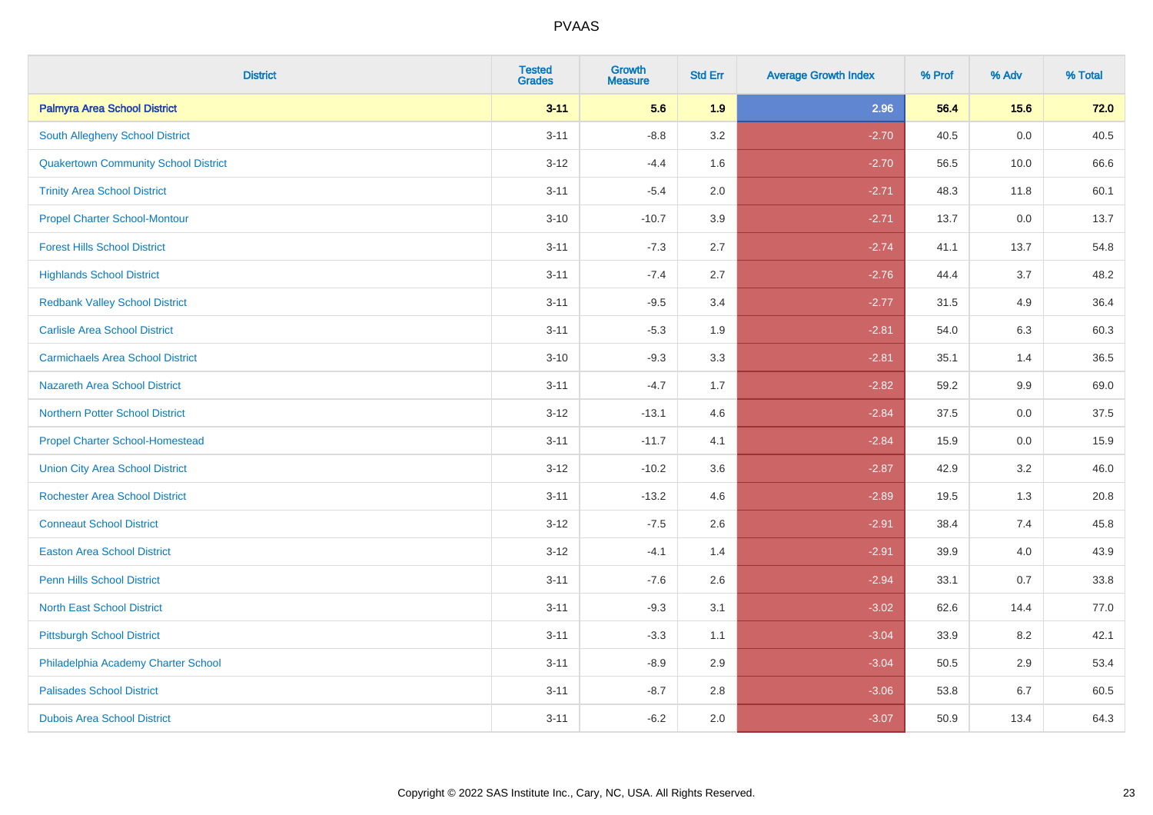| <b>District</b>                             | <b>Tested</b><br><b>Grades</b> | <b>Growth</b><br><b>Measure</b> | <b>Std Err</b> | <b>Average Growth Index</b> | % Prof | % Adv | % Total |
|---------------------------------------------|--------------------------------|---------------------------------|----------------|-----------------------------|--------|-------|---------|
| <b>Palmyra Area School District</b>         | $3 - 11$                       | 5.6                             | 1.9            | 2.96                        | 56.4   | 15.6  | 72.0    |
| South Allegheny School District             | $3 - 11$                       | $-8.8$                          | 3.2            | $-2.70$                     | 40.5   | 0.0   | 40.5    |
| <b>Quakertown Community School District</b> | $3 - 12$                       | $-4.4$                          | 1.6            | $-2.70$                     | 56.5   | 10.0  | 66.6    |
| <b>Trinity Area School District</b>         | $3 - 11$                       | $-5.4$                          | 2.0            | $-2.71$                     | 48.3   | 11.8  | 60.1    |
| <b>Propel Charter School-Montour</b>        | $3 - 10$                       | $-10.7$                         | 3.9            | $-2.71$                     | 13.7   | 0.0   | 13.7    |
| <b>Forest Hills School District</b>         | $3 - 11$                       | $-7.3$                          | 2.7            | $-2.74$                     | 41.1   | 13.7  | 54.8    |
| <b>Highlands School District</b>            | $3 - 11$                       | $-7.4$                          | 2.7            | $-2.76$                     | 44.4   | 3.7   | 48.2    |
| <b>Redbank Valley School District</b>       | $3 - 11$                       | $-9.5$                          | 3.4            | $-2.77$                     | 31.5   | 4.9   | 36.4    |
| <b>Carlisle Area School District</b>        | $3 - 11$                       | $-5.3$                          | 1.9            | $-2.81$                     | 54.0   | 6.3   | 60.3    |
| <b>Carmichaels Area School District</b>     | $3 - 10$                       | $-9.3$                          | 3.3            | $-2.81$                     | 35.1   | 1.4   | 36.5    |
| <b>Nazareth Area School District</b>        | $3 - 11$                       | $-4.7$                          | 1.7            | $-2.82$                     | 59.2   | 9.9   | 69.0    |
| <b>Northern Potter School District</b>      | $3-12$                         | $-13.1$                         | 4.6            | $-2.84$                     | 37.5   | 0.0   | 37.5    |
| <b>Propel Charter School-Homestead</b>      | $3 - 11$                       | $-11.7$                         | 4.1            | $-2.84$                     | 15.9   | 0.0   | 15.9    |
| <b>Union City Area School District</b>      | $3 - 12$                       | $-10.2$                         | 3.6            | $-2.87$                     | 42.9   | 3.2   | 46.0    |
| <b>Rochester Area School District</b>       | $3 - 11$                       | $-13.2$                         | 4.6            | $-2.89$                     | 19.5   | 1.3   | 20.8    |
| <b>Conneaut School District</b>             | $3 - 12$                       | $-7.5$                          | 2.6            | $-2.91$                     | 38.4   | 7.4   | 45.8    |
| <b>Easton Area School District</b>          | $3 - 12$                       | $-4.1$                          | 1.4            | $-2.91$                     | 39.9   | 4.0   | 43.9    |
| <b>Penn Hills School District</b>           | $3 - 11$                       | $-7.6$                          | 2.6            | $-2.94$                     | 33.1   | 0.7   | 33.8    |
| <b>North East School District</b>           | $3 - 11$                       | $-9.3$                          | 3.1            | $-3.02$                     | 62.6   | 14.4  | 77.0    |
| <b>Pittsburgh School District</b>           | $3 - 11$                       | $-3.3$                          | 1.1            | $-3.04$                     | 33.9   | 8.2   | 42.1    |
| Philadelphia Academy Charter School         | $3 - 11$                       | $-8.9$                          | 2.9            | $-3.04$                     | 50.5   | 2.9   | 53.4    |
| <b>Palisades School District</b>            | $3 - 11$                       | $-8.7$                          | 2.8            | $-3.06$                     | 53.8   | 6.7   | 60.5    |
| <b>Dubois Area School District</b>          | $3 - 11$                       | $-6.2$                          | 2.0            | $-3.07$                     | 50.9   | 13.4  | 64.3    |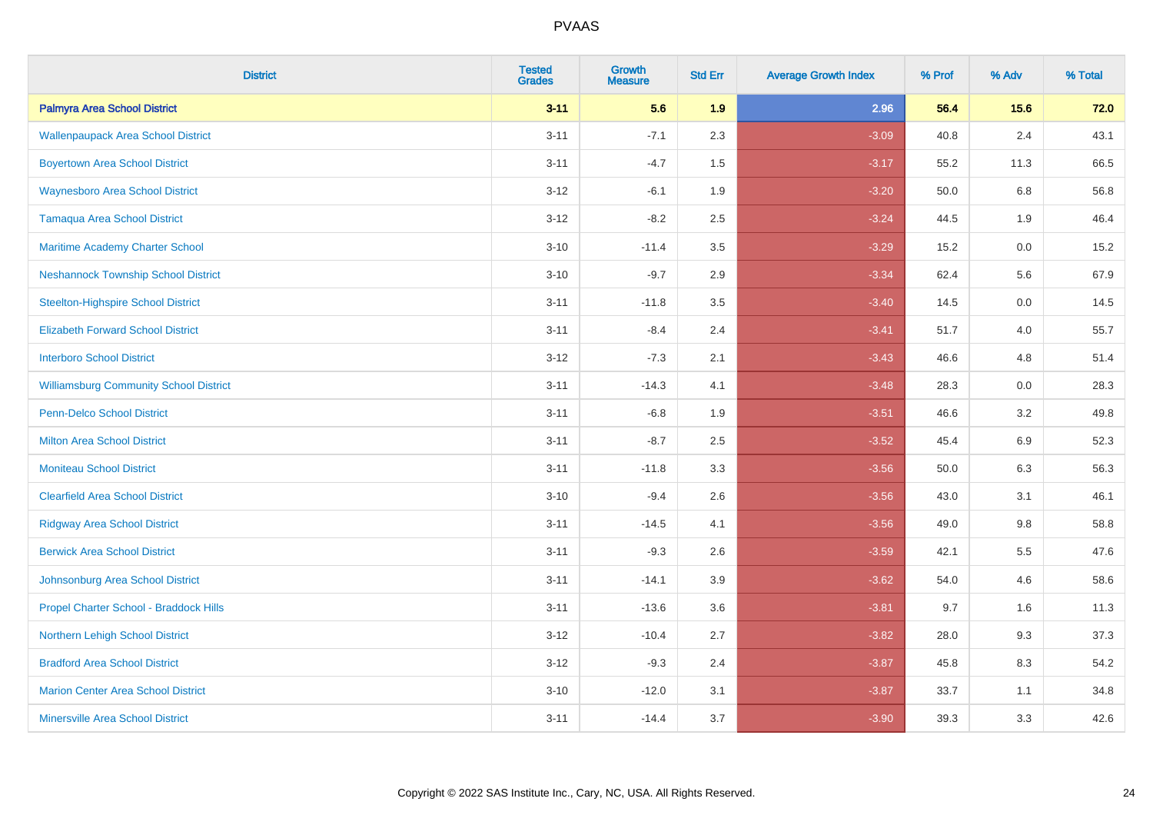| <b>District</b>                               | <b>Tested</b><br><b>Grades</b> | <b>Growth</b><br><b>Measure</b> | <b>Std Err</b> | <b>Average Growth Index</b> | % Prof | % Adv   | % Total |
|-----------------------------------------------|--------------------------------|---------------------------------|----------------|-----------------------------|--------|---------|---------|
| <b>Palmyra Area School District</b>           | $3 - 11$                       | 5.6                             | 1.9            | 2.96                        | 56.4   | 15.6    | 72.0    |
| <b>Wallenpaupack Area School District</b>     | $3 - 11$                       | $-7.1$                          | 2.3            | $-3.09$                     | 40.8   | $2.4\,$ | 43.1    |
| <b>Boyertown Area School District</b>         | $3 - 11$                       | $-4.7$                          | 1.5            | $-3.17$                     | 55.2   | 11.3    | 66.5    |
| <b>Waynesboro Area School District</b>        | $3 - 12$                       | $-6.1$                          | 1.9            | $-3.20$                     | 50.0   | 6.8     | 56.8    |
| <b>Tamaqua Area School District</b>           | $3 - 12$                       | $-8.2$                          | 2.5            | $-3.24$                     | 44.5   | 1.9     | 46.4    |
| Maritime Academy Charter School               | $3 - 10$                       | $-11.4$                         | 3.5            | $-3.29$                     | 15.2   | 0.0     | 15.2    |
| <b>Neshannock Township School District</b>    | $3 - 10$                       | $-9.7$                          | 2.9            | $-3.34$                     | 62.4   | 5.6     | 67.9    |
| <b>Steelton-Highspire School District</b>     | $3 - 11$                       | $-11.8$                         | 3.5            | $-3.40$                     | 14.5   | 0.0     | 14.5    |
| <b>Elizabeth Forward School District</b>      | $3 - 11$                       | $-8.4$                          | 2.4            | $-3.41$                     | 51.7   | 4.0     | 55.7    |
| <b>Interboro School District</b>              | $3 - 12$                       | $-7.3$                          | 2.1            | $-3.43$                     | 46.6   | 4.8     | 51.4    |
| <b>Williamsburg Community School District</b> | $3 - 11$                       | $-14.3$                         | 4.1            | $-3.48$                     | 28.3   | 0.0     | 28.3    |
| <b>Penn-Delco School District</b>             | $3 - 11$                       | $-6.8$                          | 1.9            | $-3.51$                     | 46.6   | 3.2     | 49.8    |
| <b>Milton Area School District</b>            | $3 - 11$                       | $-8.7$                          | 2.5            | $-3.52$                     | 45.4   | $6.9\,$ | 52.3    |
| <b>Moniteau School District</b>               | $3 - 11$                       | $-11.8$                         | 3.3            | $-3.56$                     | 50.0   | 6.3     | 56.3    |
| <b>Clearfield Area School District</b>        | $3 - 10$                       | $-9.4$                          | 2.6            | $-3.56$                     | 43.0   | 3.1     | 46.1    |
| <b>Ridgway Area School District</b>           | $3 - 11$                       | $-14.5$                         | 4.1            | $-3.56$                     | 49.0   | $9.8\,$ | 58.8    |
| <b>Berwick Area School District</b>           | $3 - 11$                       | $-9.3$                          | 2.6            | $-3.59$                     | 42.1   | 5.5     | 47.6    |
| Johnsonburg Area School District              | $3 - 11$                       | $-14.1$                         | 3.9            | $-3.62$                     | 54.0   | 4.6     | 58.6    |
| Propel Charter School - Braddock Hills        | $3 - 11$                       | $-13.6$                         | 3.6            | $-3.81$                     | 9.7    | 1.6     | 11.3    |
| Northern Lehigh School District               | $3 - 12$                       | $-10.4$                         | 2.7            | $-3.82$                     | 28.0   | 9.3     | 37.3    |
| <b>Bradford Area School District</b>          | $3 - 12$                       | $-9.3$                          | 2.4            | $-3.87$                     | 45.8   | 8.3     | 54.2    |
| <b>Marion Center Area School District</b>     | $3 - 10$                       | $-12.0$                         | 3.1            | $-3.87$                     | 33.7   | 1.1     | 34.8    |
| <b>Minersville Area School District</b>       | $3 - 11$                       | $-14.4$                         | 3.7            | $-3.90$                     | 39.3   | 3.3     | 42.6    |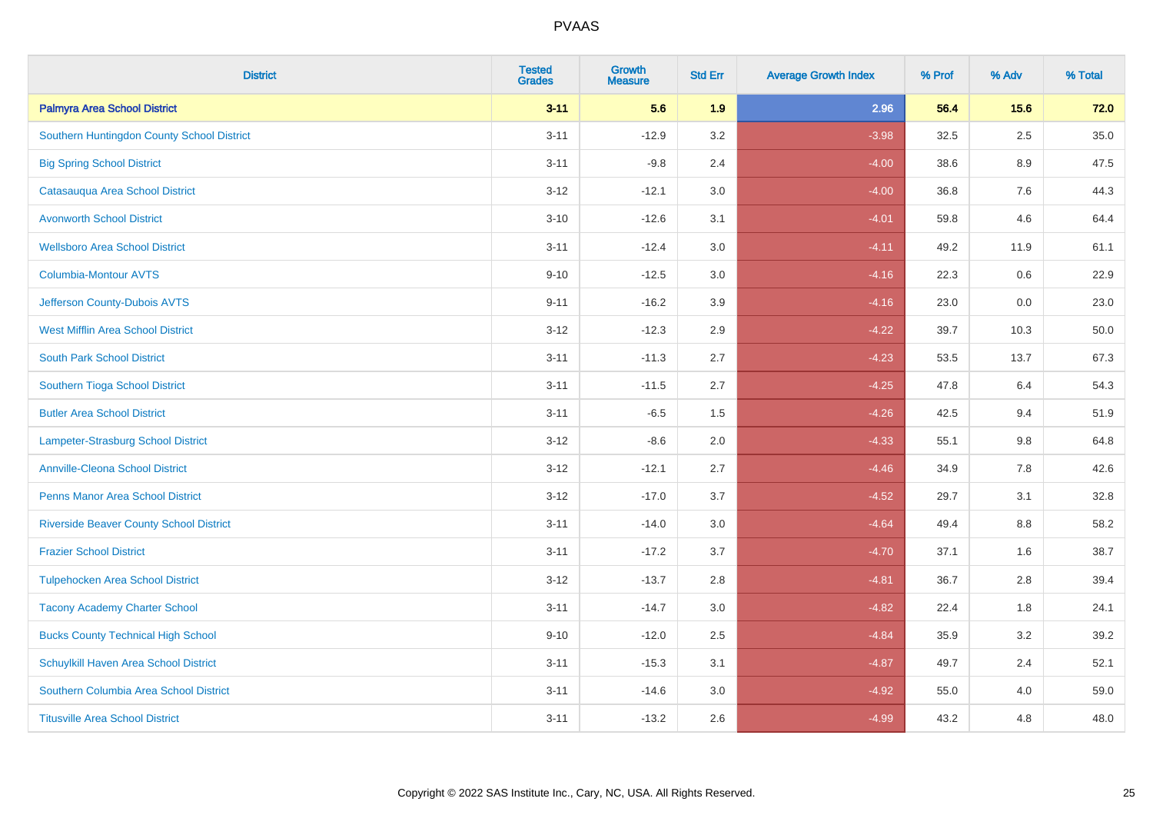| <b>District</b>                                | <b>Tested</b><br><b>Grades</b> | <b>Growth</b><br><b>Measure</b> | <b>Std Err</b> | <b>Average Growth Index</b> | % Prof | % Adv   | % Total |
|------------------------------------------------|--------------------------------|---------------------------------|----------------|-----------------------------|--------|---------|---------|
| <b>Palmyra Area School District</b>            | $3 - 11$                       | 5.6                             | 1.9            | 2.96                        | 56.4   | 15.6    | 72.0    |
| Southern Huntingdon County School District     | $3 - 11$                       | $-12.9$                         | 3.2            | $-3.98$                     | 32.5   | 2.5     | 35.0    |
| <b>Big Spring School District</b>              | $3 - 11$                       | $-9.8$                          | 2.4            | $-4.00$                     | 38.6   | 8.9     | 47.5    |
| Catasauqua Area School District                | $3 - 12$                       | $-12.1$                         | 3.0            | $-4.00$                     | 36.8   | $7.6\,$ | 44.3    |
| <b>Avonworth School District</b>               | $3 - 10$                       | $-12.6$                         | 3.1            | $-4.01$                     | 59.8   | 4.6     | 64.4    |
| <b>Wellsboro Area School District</b>          | $3 - 11$                       | $-12.4$                         | 3.0            | $-4.11$                     | 49.2   | 11.9    | 61.1    |
| <b>Columbia-Montour AVTS</b>                   | $9 - 10$                       | $-12.5$                         | 3.0            | $-4.16$                     | 22.3   | 0.6     | 22.9    |
| Jefferson County-Dubois AVTS                   | $9 - 11$                       | $-16.2$                         | 3.9            | $-4.16$                     | 23.0   | 0.0     | 23.0    |
| <b>West Mifflin Area School District</b>       | $3 - 12$                       | $-12.3$                         | 2.9            | $-4.22$                     | 39.7   | 10.3    | 50.0    |
| <b>South Park School District</b>              | $3 - 11$                       | $-11.3$                         | 2.7            | $-4.23$                     | 53.5   | 13.7    | 67.3    |
| Southern Tioga School District                 | $3 - 11$                       | $-11.5$                         | 2.7            | $-4.25$                     | 47.8   | 6.4     | 54.3    |
| <b>Butler Area School District</b>             | $3 - 11$                       | $-6.5$                          | 1.5            | $-4.26$                     | 42.5   | 9.4     | 51.9    |
| <b>Lampeter-Strasburg School District</b>      | $3 - 12$                       | $-8.6$                          | 2.0            | $-4.33$                     | 55.1   | 9.8     | 64.8    |
| <b>Annville-Cleona School District</b>         | $3 - 12$                       | $-12.1$                         | 2.7            | $-4.46$                     | 34.9   | $7.8\,$ | 42.6    |
| <b>Penns Manor Area School District</b>        | $3 - 12$                       | $-17.0$                         | 3.7            | $-4.52$                     | 29.7   | 3.1     | 32.8    |
| <b>Riverside Beaver County School District</b> | $3 - 11$                       | $-14.0$                         | 3.0            | $-4.64$                     | 49.4   | 8.8     | 58.2    |
| <b>Frazier School District</b>                 | $3 - 11$                       | $-17.2$                         | 3.7            | $-4.70$                     | 37.1   | 1.6     | 38.7    |
| <b>Tulpehocken Area School District</b>        | $3 - 12$                       | $-13.7$                         | 2.8            | $-4.81$                     | 36.7   | 2.8     | 39.4    |
| <b>Tacony Academy Charter School</b>           | $3 - 11$                       | $-14.7$                         | 3.0            | $-4.82$                     | 22.4   | 1.8     | 24.1    |
| <b>Bucks County Technical High School</b>      | $9 - 10$                       | $-12.0$                         | 2.5            | $-4.84$                     | 35.9   | 3.2     | 39.2    |
| Schuylkill Haven Area School District          | $3 - 11$                       | $-15.3$                         | 3.1            | $-4.87$                     | 49.7   | 2.4     | 52.1    |
| Southern Columbia Area School District         | $3 - 11$                       | $-14.6$                         | 3.0            | $-4.92$                     | 55.0   | 4.0     | 59.0    |
| <b>Titusville Area School District</b>         | $3 - 11$                       | $-13.2$                         | 2.6            | $-4.99$                     | 43.2   | 4.8     | 48.0    |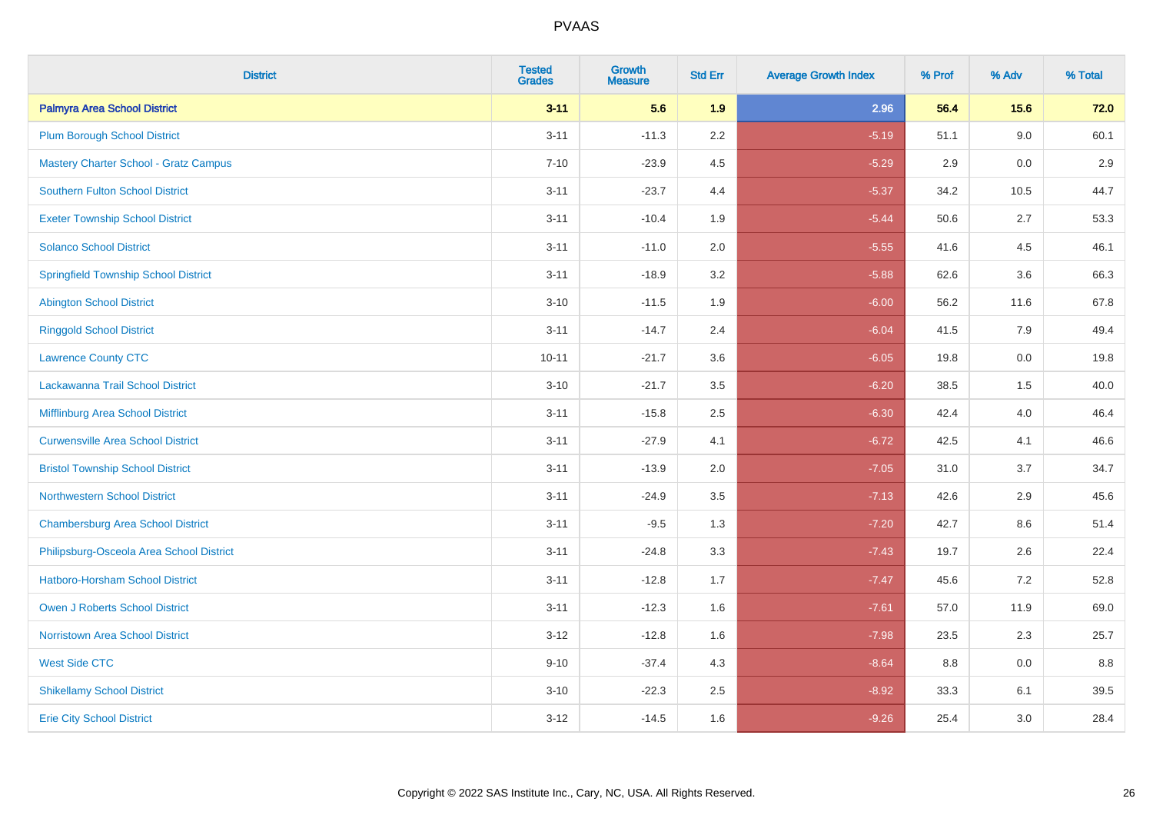| <b>District</b>                              | <b>Tested</b><br><b>Grades</b> | <b>Growth</b><br><b>Measure</b> | <b>Std Err</b> | <b>Average Growth Index</b> | % Prof | % Adv | % Total |
|----------------------------------------------|--------------------------------|---------------------------------|----------------|-----------------------------|--------|-------|---------|
| <b>Palmyra Area School District</b>          | $3 - 11$                       | 5.6                             | 1.9            | 2.96                        | 56.4   | 15.6  | 72.0    |
| <b>Plum Borough School District</b>          | $3 - 11$                       | $-11.3$                         | 2.2            | $-5.19$                     | 51.1   | 9.0   | 60.1    |
| <b>Mastery Charter School - Gratz Campus</b> | $7 - 10$                       | $-23.9$                         | 4.5            | $-5.29$                     | 2.9    | 0.0   | 2.9     |
| Southern Fulton School District              | $3 - 11$                       | $-23.7$                         | 4.4            | $-5.37$                     | 34.2   | 10.5  | 44.7    |
| <b>Exeter Township School District</b>       | $3 - 11$                       | $-10.4$                         | 1.9            | $-5.44$                     | 50.6   | 2.7   | 53.3    |
| <b>Solanco School District</b>               | $3 - 11$                       | $-11.0$                         | 2.0            | $-5.55$                     | 41.6   | 4.5   | 46.1    |
| <b>Springfield Township School District</b>  | $3 - 11$                       | $-18.9$                         | 3.2            | $-5.88$                     | 62.6   | 3.6   | 66.3    |
| <b>Abington School District</b>              | $3 - 10$                       | $-11.5$                         | 1.9            | $-6.00$                     | 56.2   | 11.6  | 67.8    |
| <b>Ringgold School District</b>              | $3 - 11$                       | $-14.7$                         | 2.4            | $-6.04$                     | 41.5   | 7.9   | 49.4    |
| <b>Lawrence County CTC</b>                   | $10 - 11$                      | $-21.7$                         | 3.6            | $-6.05$                     | 19.8   | 0.0   | 19.8    |
| Lackawanna Trail School District             | $3 - 10$                       | $-21.7$                         | 3.5            | $-6.20$                     | 38.5   | 1.5   | 40.0    |
| Mifflinburg Area School District             | $3 - 11$                       | $-15.8$                         | 2.5            | $-6.30$                     | 42.4   | 4.0   | 46.4    |
| <b>Curwensville Area School District</b>     | $3 - 11$                       | $-27.9$                         | 4.1            | $-6.72$                     | 42.5   | 4.1   | 46.6    |
| <b>Bristol Township School District</b>      | $3 - 11$                       | $-13.9$                         | 2.0            | $-7.05$                     | 31.0   | 3.7   | 34.7    |
| <b>Northwestern School District</b>          | $3 - 11$                       | $-24.9$                         | 3.5            | $-7.13$                     | 42.6   | 2.9   | 45.6    |
| <b>Chambersburg Area School District</b>     | $3 - 11$                       | $-9.5$                          | 1.3            | $-7.20$                     | 42.7   | 8.6   | 51.4    |
| Philipsburg-Osceola Area School District     | $3 - 11$                       | $-24.8$                         | 3.3            | $-7.43$                     | 19.7   | 2.6   | 22.4    |
| Hatboro-Horsham School District              | $3 - 11$                       | $-12.8$                         | 1.7            | $-7.47$                     | 45.6   | 7.2   | 52.8    |
| <b>Owen J Roberts School District</b>        | $3 - 11$                       | $-12.3$                         | 1.6            | $-7.61$                     | 57.0   | 11.9  | 69.0    |
| <b>Norristown Area School District</b>       | $3 - 12$                       | $-12.8$                         | 1.6            | $-7.98$                     | 23.5   | 2.3   | 25.7    |
| <b>West Side CTC</b>                         | $9 - 10$                       | $-37.4$                         | 4.3            | $-8.64$                     | 8.8    | 0.0   | 8.8     |
| <b>Shikellamy School District</b>            | $3 - 10$                       | $-22.3$                         | 2.5            | $-8.92$                     | 33.3   | 6.1   | 39.5    |
| <b>Erie City School District</b>             | $3 - 12$                       | $-14.5$                         | 1.6            | $-9.26$                     | 25.4   | 3.0   | 28.4    |